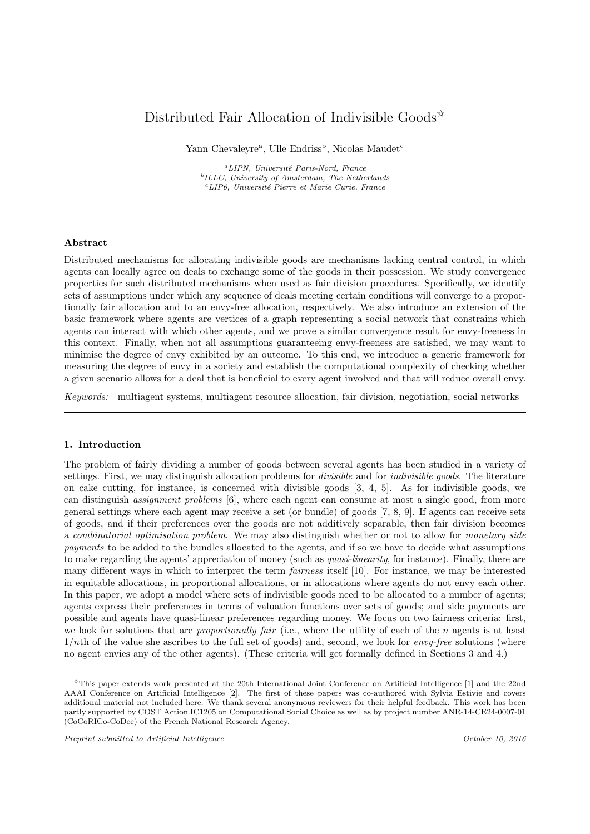# Distributed Fair Allocation of Indivisible Goods<sup> $\hat{\mathbf{x}}$ </sup>

Yann Chevaleyre<sup>a</sup>, Ulle Endriss<sup>b</sup>, Nicolas Maudet<sup>c</sup>

 $^{a}$ LIPN, Université Paris-Nord, France <sup>b</sup>ILLC, University of Amsterdam, The Netherlands  $c$ LIP6, Université Pierre et Marie Curie, France

# Abstract

Distributed mechanisms for allocating indivisible goods are mechanisms lacking central control, in which agents can locally agree on deals to exchange some of the goods in their possession. We study convergence properties for such distributed mechanisms when used as fair division procedures. Specifically, we identify sets of assumptions under which any sequence of deals meeting certain conditions will converge to a proportionally fair allocation and to an envy-free allocation, respectively. We also introduce an extension of the basic framework where agents are vertices of a graph representing a social network that constrains which agents can interact with which other agents, and we prove a similar convergence result for envy-freeness in this context. Finally, when not all assumptions guaranteeing envy-freeness are satisfied, we may want to minimise the degree of envy exhibited by an outcome. To this end, we introduce a generic framework for measuring the degree of envy in a society and establish the computational complexity of checking whether a given scenario allows for a deal that is beneficial to every agent involved and that will reduce overall envy.

Keywords: multiagent systems, multiagent resource allocation, fair division, negotiation, social networks

# 1. Introduction

The problem of fairly dividing a number of goods between several agents has been studied in a variety of settings. First, we may distinguish allocation problems for *divisible* and for *indivisible goods*. The literature on cake cutting, for instance, is concerned with divisible goods [3, 4, 5]. As for indivisible goods, we can distinguish assignment problems [6], where each agent can consume at most a single good, from more general settings where each agent may receive a set (or bundle) of goods [7, 8, 9]. If agents can receive sets of goods, and if their preferences over the goods are not additively separable, then fair division becomes a combinatorial optimisation problem. We may also distinguish whether or not to allow for monetary side payments to be added to the bundles allocated to the agents, and if so we have to decide what assumptions to make regarding the agents' appreciation of money (such as *quasi-linearity*, for instance). Finally, there are many different ways in which to interpret the term fairness itself [10]. For instance, we may be interested in equitable allocations, in proportional allocations, or in allocations where agents do not envy each other. In this paper, we adopt a model where sets of indivisible goods need to be allocated to a number of agents; agents express their preferences in terms of valuation functions over sets of goods; and side payments are possible and agents have quasi-linear preferences regarding money. We focus on two fairness criteria: first, we look for solutions that are *proportionally fair* (i.e., where the utility of each of the  $n$  agents is at least  $1/nth$  of the value she ascribes to the full set of goods) and, second, we look for *envy-free* solutions (where no agent envies any of the other agents). (These criteria will get formally defined in Sections 3 and 4.)

<sup>✩</sup>This paper extends work presented at the 20th International Joint Conference on Artificial Intelligence [1] and the 22nd AAAI Conference on Artificial Intelligence [2]. The first of these papers was co-authored with Sylvia Estivie and covers additional material not included here. We thank several anonymous reviewers for their helpful feedback. This work has been partly supported by COST Action IC1205 on Computational Social Choice as well as by project number ANR-14-CE24-0007-01 (CoCoRICo-CoDec) of the French National Research Agency.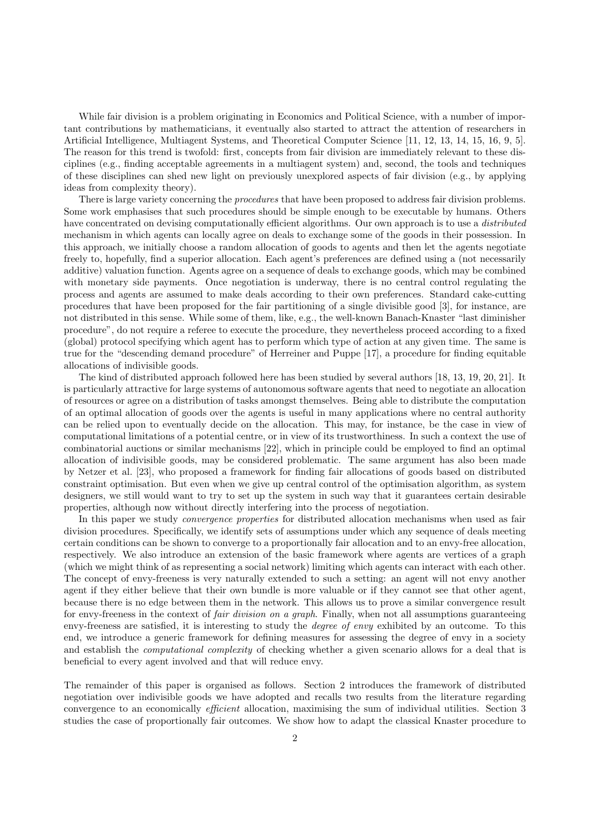While fair division is a problem originating in Economics and Political Science, with a number of important contributions by mathematicians, it eventually also started to attract the attention of researchers in Artificial Intelligence, Multiagent Systems, and Theoretical Computer Science [11, 12, 13, 14, 15, 16, 9, 5]. The reason for this trend is twofold: first, concepts from fair division are immediately relevant to these disciplines (e.g., finding acceptable agreements in a multiagent system) and, second, the tools and techniques of these disciplines can shed new light on previously unexplored aspects of fair division (e.g., by applying ideas from complexity theory).

There is large variety concerning the *procedures* that have been proposed to address fair division problems. Some work emphasises that such procedures should be simple enough to be executable by humans. Others have concentrated on devising computationally efficient algorithms. Our own approach is to use a *distributed* mechanism in which agents can locally agree on deals to exchange some of the goods in their possession. In this approach, we initially choose a random allocation of goods to agents and then let the agents negotiate freely to, hopefully, find a superior allocation. Each agent's preferences are defined using a (not necessarily additive) valuation function. Agents agree on a sequence of deals to exchange goods, which may be combined with monetary side payments. Once negotiation is underway, there is no central control regulating the process and agents are assumed to make deals according to their own preferences. Standard cake-cutting procedures that have been proposed for the fair partitioning of a single divisible good [3], for instance, are not distributed in this sense. While some of them, like, e.g., the well-known Banach-Knaster "last diminisher procedure", do not require a referee to execute the procedure, they nevertheless proceed according to a fixed (global) protocol specifying which agent has to perform which type of action at any given time. The same is true for the "descending demand procedure" of Herreiner and Puppe [17], a procedure for finding equitable allocations of indivisible goods.

The kind of distributed approach followed here has been studied by several authors [18, 13, 19, 20, 21]. It is particularly attractive for large systems of autonomous software agents that need to negotiate an allocation of resources or agree on a distribution of tasks amongst themselves. Being able to distribute the computation of an optimal allocation of goods over the agents is useful in many applications where no central authority can be relied upon to eventually decide on the allocation. This may, for instance, be the case in view of computational limitations of a potential centre, or in view of its trustworthiness. In such a context the use of combinatorial auctions or similar mechanisms [22], which in principle could be employed to find an optimal allocation of indivisible goods, may be considered problematic. The same argument has also been made by Netzer et al. [23], who proposed a framework for finding fair allocations of goods based on distributed constraint optimisation. But even when we give up central control of the optimisation algorithm, as system designers, we still would want to try to set up the system in such way that it guarantees certain desirable properties, although now without directly interfering into the process of negotiation.

In this paper we study convergence properties for distributed allocation mechanisms when used as fair division procedures. Specifically, we identify sets of assumptions under which any sequence of deals meeting certain conditions can be shown to converge to a proportionally fair allocation and to an envy-free allocation, respectively. We also introduce an extension of the basic framework where agents are vertices of a graph (which we might think of as representing a social network) limiting which agents can interact with each other. The concept of envy-freeness is very naturally extended to such a setting: an agent will not envy another agent if they either believe that their own bundle is more valuable or if they cannot see that other agent, because there is no edge between them in the network. This allows us to prove a similar convergence result for envy-freeness in the context of fair division on a graph. Finally, when not all assumptions guaranteeing envy-freeness are satisfied, it is interesting to study the degree of envy exhibited by an outcome. To this end, we introduce a generic framework for defining measures for assessing the degree of envy in a society and establish the computational complexity of checking whether a given scenario allows for a deal that is beneficial to every agent involved and that will reduce envy.

The remainder of this paper is organised as follows. Section 2 introduces the framework of distributed negotiation over indivisible goods we have adopted and recalls two results from the literature regarding convergence to an economically efficient allocation, maximising the sum of individual utilities. Section 3 studies the case of proportionally fair outcomes. We show how to adapt the classical Knaster procedure to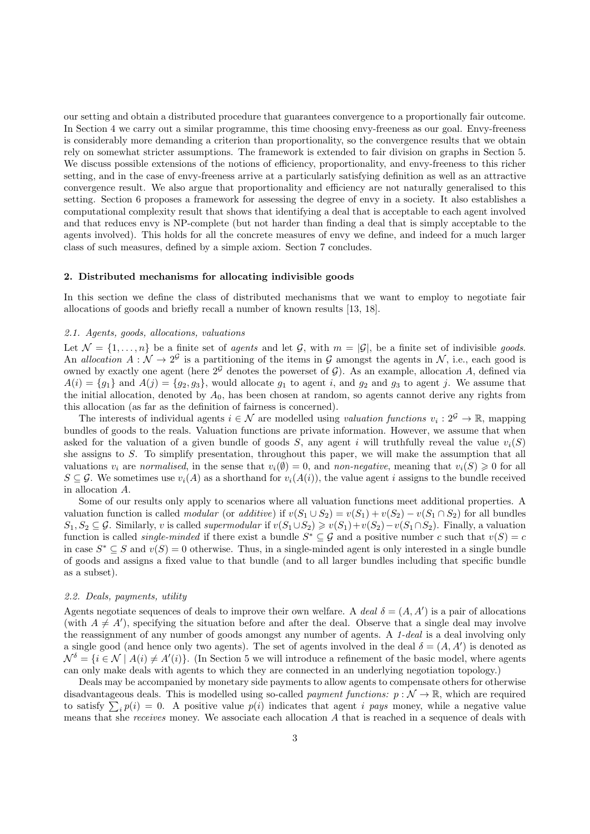our setting and obtain a distributed procedure that guarantees convergence to a proportionally fair outcome. In Section 4 we carry out a similar programme, this time choosing envy-freeness as our goal. Envy-freeness is considerably more demanding a criterion than proportionality, so the convergence results that we obtain rely on somewhat stricter assumptions. The framework is extended to fair division on graphs in Section 5. We discuss possible extensions of the notions of efficiency, proportionality, and envy-freeness to this richer setting, and in the case of envy-freeness arrive at a particularly satisfying definition as well as an attractive convergence result. We also argue that proportionality and efficiency are not naturally generalised to this setting. Section 6 proposes a framework for assessing the degree of envy in a society. It also establishes a computational complexity result that shows that identifying a deal that is acceptable to each agent involved and that reduces envy is NP-complete (but not harder than finding a deal that is simply acceptable to the agents involved). This holds for all the concrete measures of envy we define, and indeed for a much larger class of such measures, defined by a simple axiom. Section 7 concludes.

# 2. Distributed mechanisms for allocating indivisible goods

In this section we define the class of distributed mechanisms that we want to employ to negotiate fair allocations of goods and briefly recall a number of known results [13, 18].

# 2.1. Agents, goods, allocations, valuations

Let  $\mathcal{N} = \{1, \ldots, n\}$  be a finite set of *agents* and let  $\mathcal{G}$ , with  $m = |\mathcal{G}|$ , be a finite set of indivisible *goods*. An allocation  $A: \mathcal{N} \to 2^{\mathcal{G}}$  is a partitioning of the items in  $\mathcal{G}$  amongst the agents in  $\mathcal{N}$ , i.e., each good is owned by exactly one agent (here  $2^{\mathcal{G}}$  denotes the powerset of  $\mathcal{G}$ ). As an example, allocation A, defined via  $A(i) = \{g_1\}$  and  $A(j) = \{g_2, g_3\}$ , would allocate  $g_1$  to agent i, and  $g_2$  and  $g_3$  to agent j. We assume that the initial allocation, denoted by  $A_0$ , has been chosen at random, so agents cannot derive any rights from this allocation (as far as the definition of fairness is concerned).

The interests of individual agents  $i \in \mathcal{N}$  are modelled using valuation functions  $v_i : 2^{\mathcal{G}} \to \mathbb{R}$ , mapping bundles of goods to the reals. Valuation functions are private information. However, we assume that when asked for the valuation of a given bundle of goods S, any agent i will truthfully reveal the value  $v_i(S)$ she assigns to S. To simplify presentation, throughout this paper, we will make the assumption that all valuations  $v_i$  are normalised, in the sense that  $v_i(\emptyset) = 0$ , and non-negative, meaning that  $v_i(S) \geq 0$  for all  $S \subseteq \mathcal{G}$ . We sometimes use  $v_i(A)$  as a shorthand for  $v_i(A(i))$ , the value agent i assigns to the bundle received in allocation A.

Some of our results only apply to scenarios where all valuation functions meet additional properties. A valuation function is called modular (or additive) if  $v(S_1 \cup S_2) = v(S_1) + v(S_2) - v(S_1 \cap S_2)$  for all bundles  $S_1, S_2 \subseteq \mathcal{G}$ . Similarly, v is called *supermodular* if  $v(S_1 \cup S_2) \geq v(S_1) + v(S_2) - v(S_1 \cap S_2)$ . Finally, a valuation function is called *single-minded* if there exist a bundle  $S^* \subseteq \mathcal{G}$  and a positive number c such that  $v(S) = c$ in case  $S^* \subseteq S$  and  $v(S) = 0$  otherwise. Thus, in a single-minded agent is only interested in a single bundle of goods and assigns a fixed value to that bundle (and to all larger bundles including that specific bundle as a subset).

#### 2.2. Deals, payments, utility

Agents negotiate sequences of deals to improve their own welfare. A deal  $\delta = (A, A')$  is a pair of allocations (with  $A \neq A'$ ), specifying the situation before and after the deal. Observe that a single deal may involve the reassignment of any number of goods amongst any number of agents. A 1-deal is a deal involving only a single good (and hence only two agents). The set of agents involved in the deal  $\delta = (A, A')$  is denoted as  $\mathcal{N}^{\delta} = \{i \in \mathcal{N} \mid A(i) \neq A'(i)\}.$  (In Section 5 we will introduce a refinement of the basic model, where agents can only make deals with agents to which they are connected in an underlying negotiation topology.)

Deals may be accompanied by monetary side payments to allow agents to compensate others for otherwise disadvantageous deals. This is modelled using so-called *payment functions:*  $p : \mathcal{N} \to \mathbb{R}$ , which are required to satisfy  $\sum_i p(i) = 0$ . A positive value  $p(i)$  indicates that agent i pays money, while a negative value means that she receives money. We associate each allocation  $A$  that is reached in a sequence of deals with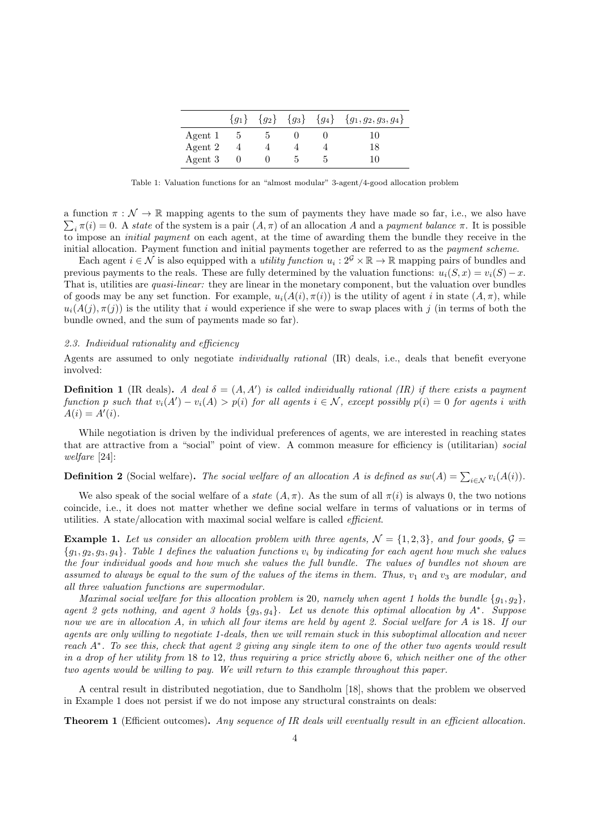|         | $\{g_1\}$ |  |              | ${g_2}$ ${g_3}$ ${g_4}$ ${g_1, g_2, g_3, g_4}$ |
|---------|-----------|--|--------------|------------------------------------------------|
| Agent 1 | $\cdot$ b |  |              | 10                                             |
| Agent 2 |           |  |              | 18                                             |
| Agent 3 |           |  | $\mathbf{h}$ | 10                                             |

Table 1: Valuation functions for an "almost modular" 3-agent/4-good allocation problem

a function  $\pi : \mathcal{N} \to \mathbb{R}$  mapping agents to the sum of payments they have made so far, i.e., we also have a function  $\pi : \mathcal{N} \to \mathbb{R}$  mapping agents to the sum of payments they have made so far, i.e., we also have  $\sum_i \pi(i) = 0$ . A state of the system is a pair  $(A, \pi)$  of an allocation A and a payment balance  $\pi$ . It is pos to impose an initial payment on each agent, at the time of awarding them the bundle they receive in the initial allocation. Payment function and initial payments together are referred to as the payment scheme.

Each agent  $i \in \mathcal{N}$  is also equipped with a *utility function*  $u_i : 2^{\mathcal{G}} \times \mathbb{R} \to \mathbb{R}$  mapping pairs of bundles and previous payments to the reals. These are fully determined by the valuation functions:  $u_i(S, x) = v_i(S) - x$ . That is, utilities are *quasi-linear*: they are linear in the monetary component, but the valuation over bundles of goods may be any set function. For example,  $u_i(A(i), \pi(i))$  is the utility of agent i in state  $(A, \pi)$ , while  $u_i(A(j), \pi(j))$  is the utility that i would experience if she were to swap places with j (in terms of both the bundle owned, and the sum of payments made so far).

#### 2.3. Individual rationality and efficiency

Agents are assumed to only negotiate individually rational (IR) deals, i.e., deals that benefit everyone involved:

**Definition 1** (IR deals). A deal  $\delta = (A, A')$  is called individually rational (IR) if there exists a payment function p such that  $v_i(A') - v_i(A) > p(i)$  for all agents  $i \in \mathcal{N}$ , except possibly  $p(i) = 0$  for agents i with  $A(i) = A'(i).$ 

While negotiation is driven by the individual preferences of agents, we are interested in reaching states that are attractive from a "social" point of view. A common measure for efficiency is (utilitarian) social welfare [24]:

# **Definition 2** (Social welfare). The social welfare of an allocation A is defined as  $sw(A) = \sum_{i \in \mathcal{N}} v_i(A(i))$ .

We also speak of the social welfare of a *state*  $(A, \pi)$ . As the sum of all  $\pi(i)$  is always 0, the two notions coincide, i.e., it does not matter whether we define social welfare in terms of valuations or in terms of utilities. A state/allocation with maximal social welfare is called efficient.

**Example 1.** Let us consider an allocation problem with three agents,  $\mathcal{N} = \{1, 2, 3\}$ , and four goods,  $\mathcal{G} =$  ${g_1, g_2, g_3, g_4}$ . Table 1 defines the valuation functions  $v_i$  by indicating for each agent how much she values the four individual goods and how much she values the full bundle. The values of bundles not shown are assumed to always be equal to the sum of the values of the items in them. Thus,  $v_1$  and  $v_3$  are modular, and all three valuation functions are supermodular.

Maximal social welfare for this allocation problem is 20, namely when agent 1 holds the bundle  $\{g_1, g_2\}$ , agent 2 gets nothing, and agent 3 holds  $\{g_3, g_4\}$ . Let us denote this optimal allocation by A<sup>\*</sup>. Suppose now we are in allocation A, in which all four items are held by agent 2. Social welfare for A is 18. If our agents are only willing to negotiate 1-deals, then we will remain stuck in this suboptimal allocation and never reach A<sup>∗</sup>. To see this, check that agent 2 giving any single item to one of the other two agents would result in a drop of her utility from 18 to 12, thus requiring a price strictly above 6, which neither one of the other two agents would be willing to pay. We will return to this example throughout this paper.

A central result in distributed negotiation, due to Sandholm [18], shows that the problem we observed in Example 1 does not persist if we do not impose any structural constraints on deals:

**Theorem 1** (Efficient outcomes). Any sequence of IR deals will eventually result in an efficient allocation.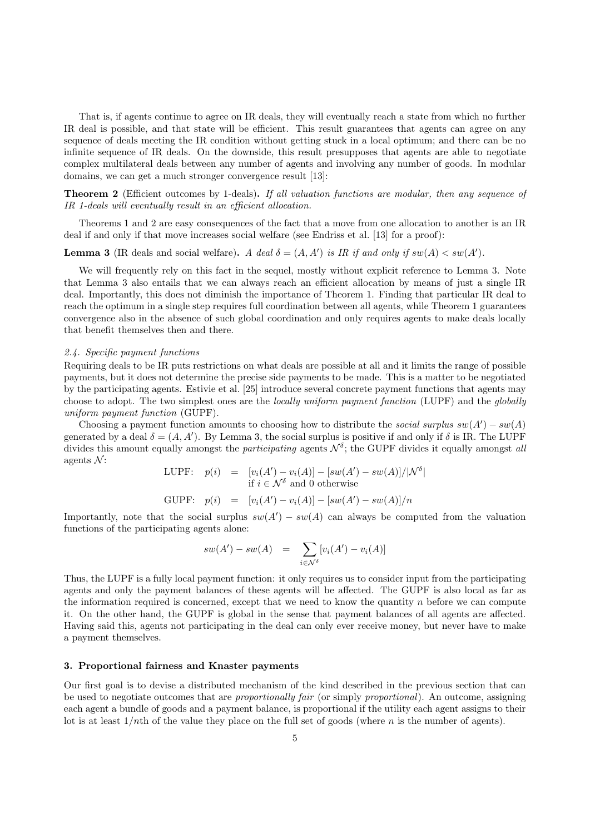That is, if agents continue to agree on IR deals, they will eventually reach a state from which no further IR deal is possible, and that state will be efficient. This result guarantees that agents can agree on any sequence of deals meeting the IR condition without getting stuck in a local optimum; and there can be no infinite sequence of IR deals. On the downside, this result presupposes that agents are able to negotiate complex multilateral deals between any number of agents and involving any number of goods. In modular domains, we can get a much stronger convergence result [13]:

**Theorem 2** (Efficient outcomes by 1-deals). If all valuation functions are modular, then any sequence of IR 1-deals will eventually result in an efficient allocation.

Theorems 1 and 2 are easy consequences of the fact that a move from one allocation to another is an IR deal if and only if that move increases social welfare (see Endriss et al. [13] for a proof):

# **Lemma 3** (IR deals and social welfare). A deal  $\delta = (A, A')$  is IR if and only if  $sw(A) < sw(A')$ .

We will frequently rely on this fact in the sequel, mostly without explicit reference to Lemma 3. Note that Lemma 3 also entails that we can always reach an efficient allocation by means of just a single IR deal. Importantly, this does not diminish the importance of Theorem 1. Finding that particular IR deal to reach the optimum in a single step requires full coordination between all agents, while Theorem 1 guarantees convergence also in the absence of such global coordination and only requires agents to make deals locally that benefit themselves then and there.

### 2.4. Specific payment functions

Requiring deals to be IR puts restrictions on what deals are possible at all and it limits the range of possible payments, but it does not determine the precise side payments to be made. This is a matter to be negotiated by the participating agents. Estivie et al. [25] introduce several concrete payment functions that agents may choose to adopt. The two simplest ones are the locally uniform payment function (LUPF) and the globally uniform payment function (GUPF).

Choosing a payment function amounts to choosing how to distribute the social surplus  $sw(A') - sw(A)$ generated by a deal  $\delta = (A, A')$ . By Lemma 3, the social surplus is positive if and only if  $\delta$  is IR. The LUPF divides this amount equally amongst the *participating* agents  $\mathcal{N}^{\delta}$ ; the GUPF divides it equally amongst all agents  $\mathcal{N}$ :

LUPF: 
$$
p(i) = [v_i(A') - v_i(A)] - [sw(A') - sw(A)]/|\mathcal{N}^{\delta}|
$$
  
if  $i \in \mathcal{N}^{\delta}$  and 0 otherwise  
GUPF:  $p(i) = [v_i(A') - v_i(A)] - [sw(A') - sw(A)]/n$ 

Importantly, note that the social surplus  $sw(A') - sw(A)$  can always be computed from the valuation functions of the participating agents alone:

$$
sw(A') - sw(A) = \sum_{i \in \mathcal{N}^{\delta}} [v_i(A') - v_i(A)]
$$

Thus, the LUPF is a fully local payment function: it only requires us to consider input from the participating agents and only the payment balances of these agents will be affected. The GUPF is also local as far as the information required is concerned, except that we need to know the quantity  $n$  before we can compute it. On the other hand, the GUPF is global in the sense that payment balances of all agents are affected. Having said this, agents not participating in the deal can only ever receive money, but never have to make a payment themselves.

# 3. Proportional fairness and Knaster payments

Our first goal is to devise a distributed mechanism of the kind described in the previous section that can be used to negotiate outcomes that are proportionally fair (or simply proportional). An outcome, assigning each agent a bundle of goods and a payment balance, is proportional if the utility each agent assigns to their lot is at least  $1/nth$  of the value they place on the full set of goods (where n is the number of agents).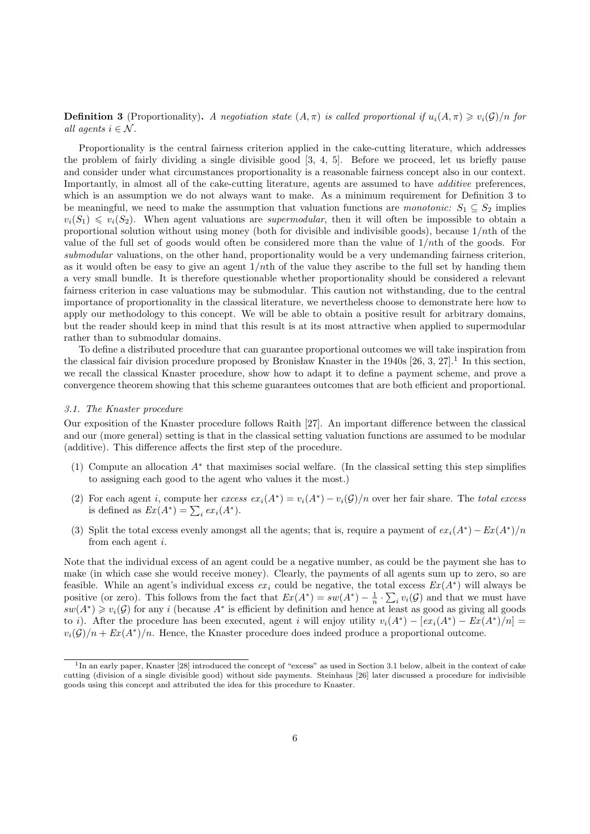**Definition 3** (Proportionality). A negotiation state  $(A, \pi)$  is called proportional if  $u_i(A, \pi) \geq v_i(G)/n$  for all agents  $i \in \mathcal{N}$ .

Proportionality is the central fairness criterion applied in the cake-cutting literature, which addresses the problem of fairly dividing a single divisible good [3, 4, 5]. Before we proceed, let us briefly pause and consider under what circumstances proportionality is a reasonable fairness concept also in our context. Importantly, in almost all of the cake-cutting literature, agents are assumed to have additive preferences, which is an assumption we do not always want to make. As a minimum requirement for Definition 3 to be meaningful, we need to make the assumption that valuation functions are monotonic:  $S_1 \subseteq S_2$  implies  $v_i(S_1) \leq v_i(S_2)$ . When agent valuations are supermodular, then it will often be impossible to obtain a proportional solution without using money (both for divisible and indivisible goods), because 1/nth of the value of the full set of goods would often be considered more than the value of  $1/nth$  of the goods. For submodular valuations, on the other hand, proportionality would be a very undemanding fairness criterion, as it would often be easy to give an agent  $1/nth$  of the value they ascribe to the full set by handing them a very small bundle. It is therefore questionable whether proportionality should be considered a relevant fairness criterion in case valuations may be submodular. This caution not withstanding, due to the central importance of proportionality in the classical literature, we nevertheless choose to demonstrate here how to apply our methodology to this concept. We will be able to obtain a positive result for arbitrary domains, but the reader should keep in mind that this result is at its most attractive when applied to supermodular rather than to submodular domains.

To define a distributed procedure that can guarantee proportional outcomes we will take inspiration from the classical fair division procedure proposed by Bronisław Knaster in the  $1940s$  [26, 3, 27].<sup>1</sup> In this section, we recall the classical Knaster procedure, show how to adapt it to define a payment scheme, and prove a convergence theorem showing that this scheme guarantees outcomes that are both efficient and proportional.

# 3.1. The Knaster procedure

Our exposition of the Knaster procedure follows Raith [27]. An important difference between the classical and our (more general) setting is that in the classical setting valuation functions are assumed to be modular (additive). This difference affects the first step of the procedure.

- (1) Compute an allocation A<sup>∗</sup> that maximises social welfare. (In the classical setting this step simplifies to assigning each good to the agent who values it the most.)
- (2) For each agent i, compute her excess  $ex_i(A^*) = v_i(A^*) v_i(G)/n$  over her fair share. The total excess is defined as  $Ex(A^*) = \sum_i ex_i(A^*)$ .
- (3) Split the total excess evenly amongst all the agents; that is, require a payment of  $ex_i(A^*) Ex(A^*)/n$ from each agent i.

Note that the individual excess of an agent could be a negative number, as could be the payment she has to make (in which case she would receive money). Clearly, the payments of all agents sum up to zero, so are feasible. While an agent's individual excess  $ex_i$  could be negative, the total excess  $Ex(A^*)$  will always be positive (or zero). This follows from the fact that  $Ex(A^*) = sw(A^*) - \frac{1}{n} \cdot \sum_i v_i(\mathcal{G})$  and that we must have  $sw(A^*) \geq v_i(G)$  for any i (because  $A^*$  is efficient by definition and hence at least as good as giving all goods to i). After the procedure has been executed, agent i will enjoy utility  $v_i(A^*) - [ex_i(A^*) - Ex(A^*)/n] =$  $v_i(\mathcal{G})/n + Ex(A^*)/n$ . Hence, the Knaster procedure does indeed produce a proportional outcome.

<sup>&</sup>lt;sup>1</sup>In an early paper, Knaster [28] introduced the concept of "excess" as used in Section 3.1 below, albeit in the context of cake cutting (division of a single divisible good) without side payments. Steinhaus [26] later discussed a procedure for indivisible goods using this concept and attributed the idea for this procedure to Knaster.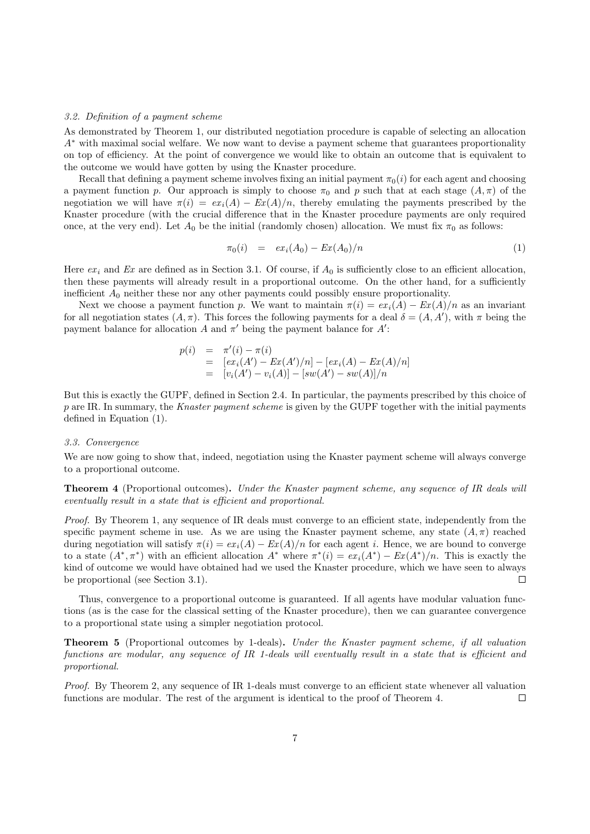#### 3.2. Definition of a payment scheme

As demonstrated by Theorem 1, our distributed negotiation procedure is capable of selecting an allocation A<sup>∗</sup> with maximal social welfare. We now want to devise a payment scheme that guarantees proportionality on top of efficiency. At the point of convergence we would like to obtain an outcome that is equivalent to the outcome we would have gotten by using the Knaster procedure.

Recall that defining a payment scheme involves fixing an initial payment  $\pi_0(i)$  for each agent and choosing a payment function p. Our approach is simply to choose  $\pi_0$  and p such that at each stage  $(A, \pi)$  of the negotiation we will have  $\pi(i) = ex_i(A) - Ex(A)/n$ , thereby emulating the payments prescribed by the Knaster procedure (with the crucial difference that in the Knaster procedure payments are only required once, at the very end). Let  $A_0$  be the initial (randomly chosen) allocation. We must fix  $\pi_0$  as follows:

$$
\pi_0(i) = ex_i(A_0) - Ex(A_0)/n \tag{1}
$$

Here  $ex_i$  and Ex are defined as in Section 3.1. Of course, if  $A_0$  is sufficiently close to an efficient allocation, then these payments will already result in a proportional outcome. On the other hand, for a sufficiently inefficient  $A_0$  neither these nor any other payments could possibly ensure proportionality.

Next we choose a payment function p. We want to maintain  $\pi(i) = ex_i(A) - Ex(A)/n$  as an invariant for all negotiation states  $(A, \pi)$ . This forces the following payments for a deal  $\delta = (A, A')$ , with  $\pi$  being the payment balance for allocation A and  $\pi'$  being the payment balance for A':

$$
p(i) = \pi'(i) - \pi(i)
$$
  
=  $[ex_i(A') - Ex(A')/n] - [ex_i(A) - Ex(A)/n]$   
=  $[v_i(A') - v_i(A)] - [sw(A') - sw(A)]/n$ 

But this is exactly the GUPF, defined in Section 2.4. In particular, the payments prescribed by this choice of p are IR. In summary, the Knaster payment scheme is given by the GUPF together with the initial payments defined in Equation (1).

#### 3.3. Convergence

We are now going to show that, indeed, negotiation using the Knaster payment scheme will always converge to a proportional outcome.

**Theorem 4** (Proportional outcomes). Under the Knaster payment scheme, any sequence of IR deals will eventually result in a state that is efficient and proportional.

Proof. By Theorem 1, any sequence of IR deals must converge to an efficient state, independently from the specific payment scheme in use. As we are using the Knaster payment scheme, any state  $(A, \pi)$  reached during negotiation will satisfy  $\pi(i) = ex_i(A) - Ex(A)/n$  for each agent i. Hence, we are bound to converge to a state  $(A^*, \pi^*)$  with an efficient allocation  $A^*$  where  $\pi^*(i) = ex_i(A^*) - Ex(A^*)/n$ . This is exactly the kind of outcome we would have obtained had we used the Knaster procedure, which we have seen to always be proportional (see Section 3.1).  $\Box$ 

Thus, convergence to a proportional outcome is guaranteed. If all agents have modular valuation functions (as is the case for the classical setting of the Knaster procedure), then we can guarantee convergence to a proportional state using a simpler negotiation protocol.

Theorem 5 (Proportional outcomes by 1-deals). Under the Knaster payment scheme, if all valuation functions are modular, any sequence of IR 1-deals will eventually result in a state that is efficient and proportional.

Proof. By Theorem 2, any sequence of IR 1-deals must converge to an efficient state whenever all valuation functions are modular. The rest of the argument is identical to the proof of Theorem 4.  $\Box$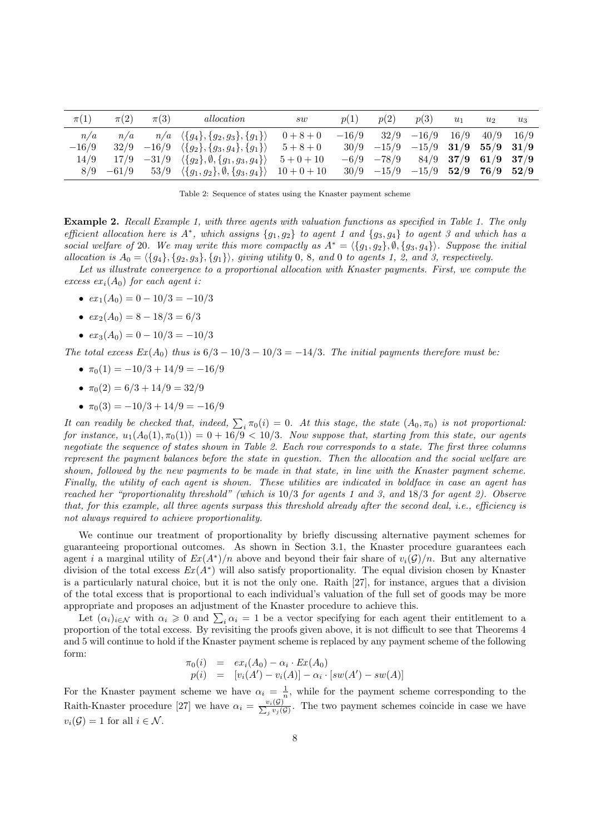| $\pi(1)$ | $\pi(2)$ | $\pi(3)$ | allocation                                                               | sw            | p(1)    | p(2) | p(3)                                        | $u_1$ | $u_2$ | $u_3$ |
|----------|----------|----------|--------------------------------------------------------------------------|---------------|---------|------|---------------------------------------------|-------|-------|-------|
| n/a      |          |          | $n/a$ $n/a$ $\langle {g_4}, {g_2}, {g_3}, {g_1} \rangle$                 | $0 + 8 + 0$   | $-16/9$ |      | $32/9$ $-16/9$ $16/9$ $40/9$ $16/9$         |       |       |       |
| $-16/9$  |          |          | $32/9$ $-16/9$ $\langle {g_2}, {g_3}, {g_4}, {g_1} \rangle$              | $5 + 8 + 0$   | 30/9    |      | $-15/9$ $-15/9$ $31/9$ $55/9$ $31/9$        |       |       |       |
| 14/9     |          |          | $17/9$ $-31/9$ $\langle {g_2}, \emptyset, {g_1}, g_3, g_4 \rangle$       | $5 + 0 + 10$  |         |      | $-6/9$ $-78/9$ $84/9$ $37/9$ $61/9$ $37/9$  |       |       |       |
|          |          |          | $8/9$ $-61/9$ $53/9$ $\langle {g_1, g_2}, \emptyset, {g_3, g_4} \rangle$ | $10 + 0 + 10$ |         |      | $30/9$ $-15/9$ $-15/9$ $52/9$ $76/9$ $52/9$ |       |       |       |

Table 2: Sequence of states using the Knaster payment scheme

Example 2. Recall Example 1, with three agents with valuation functions as specified in Table 1. The only efficient allocation here is  $A^*$ , which assigns  $\{g_1, g_2\}$  to agent 1 and  $\{g_3, g_4\}$  to agent 3 and which has a social welfare of 20. We may write this more compactly as  $A^* = \langle {g_1, g_2}, \emptyset, {g_3, g_4}\rangle$ . Suppose the initial allocation is  $A_0 = \langle \{g_4\}, \{g_2, g_3\}, \{g_1\} \rangle$ , giving utility 0, 8, and 0 to agents 1, 2, and 3, respectively.

Let us illustrate convergence to a proportional allocation with Knaster payments. First, we compute the excess  $ex_i(A_0)$  for each agent i:

- $ex_1(A_0) = 0 10/3 = -10/3$
- $ex_2(A_0) = 8 18/3 = 6/3$
- $ex_3(A_0) = 0 10/3 = -10/3$

The total excess  $Ex(A_0)$  thus is  $6/3 - 10/3 - 10/3 = -14/3$ . The initial payments therefore must be:

- $\pi_0(1) = -10/3 + 14/9 = -16/9$
- $\pi_0(2) = 6/3 + 14/9 = 32/9$
- $\pi_0(3) = -10/3 + 14/9 = -16/9$

It can readily be checked that, indeed,  $\sum_i \pi_0(i) = 0$ . At this stage, the state  $(A_0, \pi_0)$  is not proportional: for instance,  $u_1(A_0(1), \pi_0(1)) = 0 + 16/9 < 10/3$ . Now suppose that, starting from this state, our agents negotiate the sequence of states shown in Table 2. Each row corresponds to a state. The first three columns represent the payment balances before the state in question. Then the allocation and the social welfare are shown, followed by the new payments to be made in that state, in line with the Knaster payment scheme. Finally, the utility of each agent is shown. These utilities are indicated in boldface in case an agent has reached her "proportionality threshold" (which is 10/3 for agents 1 and 3, and 18/3 for agent 2). Observe that, for this example, all three agents surpass this threshold already after the second deal, i.e., efficiency is not always required to achieve proportionality.

We continue our treatment of proportionality by briefly discussing alternative payment schemes for guaranteeing proportional outcomes. As shown in Section 3.1, the Knaster procedure guarantees each agent i a marginal utility of  $Ex(A^*)/n$  above and beyond their fair share of  $v_i(\mathcal{G})/n$ . But any alternative division of the total excess  $Ex(A^*)$  will also satisfy proportionality. The equal division chosen by Knaster is a particularly natural choice, but it is not the only one. Raith [27], for instance, argues that a division of the total excess that is proportional to each individual's valuation of the full set of goods may be more appropriate and proposes an adjustment of the Knaster procedure to achieve this.

Let  $(\alpha_i)_{i\in\mathcal{N}}$  with  $\alpha_i \geq 0$  and  $\sum_i \alpha_i = 1$  be a vector specifying for each agent their entitlement to a proportion of the total excess. By revisiting the proofs given above, it is not difficult to see that Theorems 4 and 5 will continue to hold if the Knaster payment scheme is replaced by any payment scheme of the following form:

$$
\begin{array}{rcl}\n\pi_0(i) & = & ex_i(A_0) - \alpha_i \cdot Ex(A_0) \\
p(i) & = & \left[ v_i(A') - v_i(A) \right] - \alpha_i \cdot \left[ sw(A') - sw(A) \right]\n\end{array}
$$

For the Knaster payment scheme we have  $\alpha_i = \frac{1}{n}$ , while for the payment scheme corresponding to the Raith-Knaster procedure [27] we have  $\alpha_i = \frac{v_i(\mathcal{G})}{\sum_j v_j(\mathcal{G})}$ . The two payment schemes coincide in case we have  $v_i(\mathcal{G}) = 1$  for all  $i \in \mathcal{N}$ .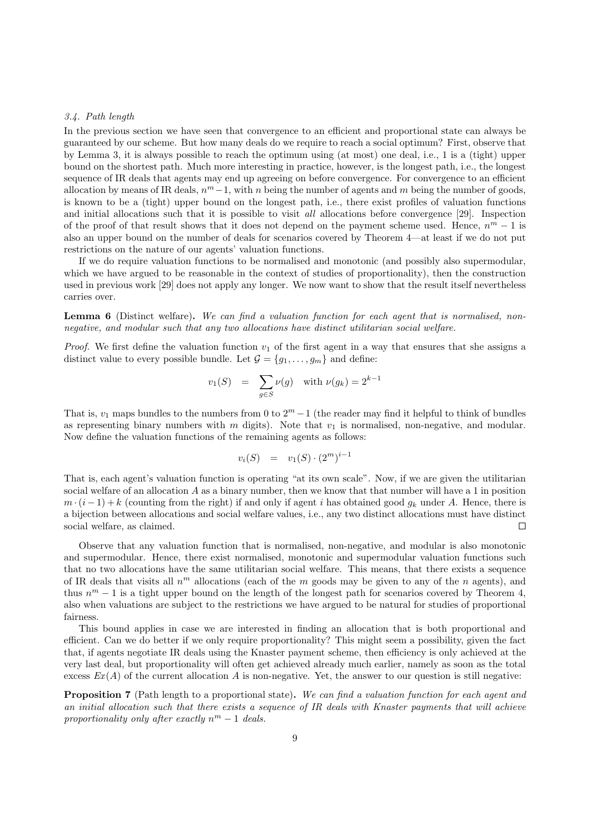#### 3.4. Path length

In the previous section we have seen that convergence to an efficient and proportional state can always be guaranteed by our scheme. But how many deals do we require to reach a social optimum? First, observe that by Lemma 3, it is always possible to reach the optimum using (at most) one deal, i.e., 1 is a (tight) upper bound on the shortest path. Much more interesting in practice, however, is the longest path, i.e., the longest sequence of IR deals that agents may end up agreeing on before convergence. For convergence to an efficient allocation by means of IR deals,  $n^m-1$ , with n being the number of agents and m being the number of goods, is known to be a (tight) upper bound on the longest path, i.e., there exist profiles of valuation functions and initial allocations such that it is possible to visit all allocations before convergence [29]. Inspection of the proof of that result shows that it does not depend on the payment scheme used. Hence,  $n^m - 1$  is also an upper bound on the number of deals for scenarios covered by Theorem 4—at least if we do not put restrictions on the nature of our agents' valuation functions.

If we do require valuation functions to be normalised and monotonic (and possibly also supermodular, which we have argued to be reasonable in the context of studies of proportionality), then the construction used in previous work [29] does not apply any longer. We now want to show that the result itself nevertheless carries over.

Lemma 6 (Distinct welfare). We can find a valuation function for each agent that is normalised, nonnegative, and modular such that any two allocations have distinct utilitarian social welfare.

*Proof.* We first define the valuation function  $v_1$  of the first agent in a way that ensures that she assigns a distinct value to every possible bundle. Let  $\mathcal{G} = \{g_1, \ldots, g_m\}$  and define:

$$
v_1(S) = \sum_{g \in S} \nu(g) \quad \text{with } \nu(g_k) = 2^{k-1}
$$

That is,  $v_1$  maps bundles to the numbers from 0 to  $2^m - 1$  (the reader may find it helpful to think of bundles as representing binary numbers with  $m$  digits). Note that  $v_1$  is normalised, non-negative, and modular. Now define the valuation functions of the remaining agents as follows:

$$
v_i(S) = v_1(S) \cdot (2^m)^{i-1}
$$

That is, each agent's valuation function is operating "at its own scale". Now, if we are given the utilitarian social welfare of an allocation A as a binary number, then we know that that number will have a 1 in position  $m \cdot (i-1) + k$  (counting from the right) if and only if agent i has obtained good  $q_k$  under A. Hence, there is a bijection between allocations and social welfare values, i.e., any two distinct allocations must have distinct social welfare, as claimed.  $\Box$ 

Observe that any valuation function that is normalised, non-negative, and modular is also monotonic and supermodular. Hence, there exist normalised, monotonic and supermodular valuation functions such that no two allocations have the same utilitarian social welfare. This means, that there exists a sequence of IR deals that visits all  $n^m$  allocations (each of the m goods may be given to any of the n agents), and thus  $n^m - 1$  is a tight upper bound on the length of the longest path for scenarios covered by Theorem 4, also when valuations are subject to the restrictions we have argued to be natural for studies of proportional fairness.

This bound applies in case we are interested in finding an allocation that is both proportional and efficient. Can we do better if we only require proportionality? This might seem a possibility, given the fact that, if agents negotiate IR deals using the Knaster payment scheme, then efficiency is only achieved at the very last deal, but proportionality will often get achieved already much earlier, namely as soon as the total excess  $Ex(A)$  of the current allocation A is non-negative. Yet, the answer to our question is still negative:

**Proposition 7** (Path length to a proportional state). We can find a valuation function for each agent and an initial allocation such that there exists a sequence of IR deals with Knaster payments that will achieve proportionality only after exactly  $n^m - 1$  deals.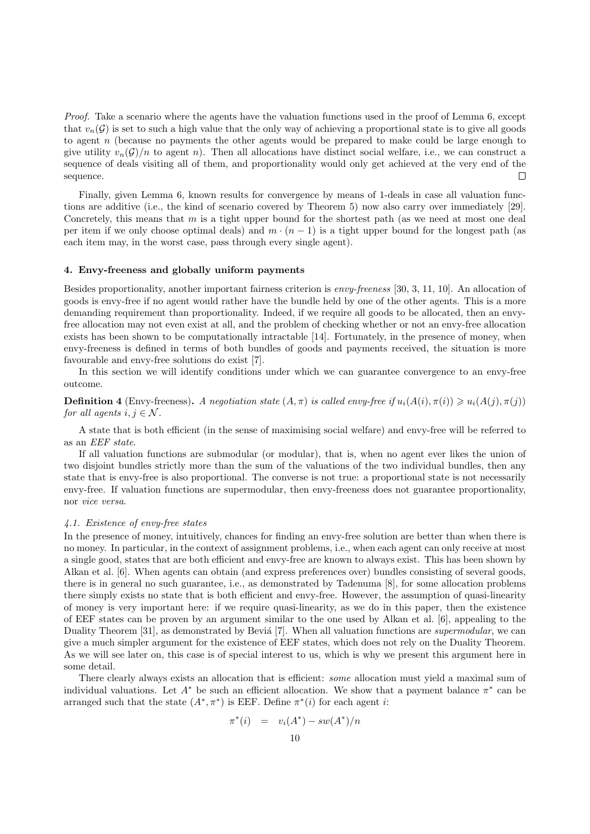Proof. Take a scenario where the agents have the valuation functions used in the proof of Lemma 6, except that  $v_n(G)$  is set to such a high value that the only way of achieving a proportional state is to give all goods to agent  $n$  (because no payments the other agents would be prepared to make could be large enough to give utility  $v_n(\mathcal{G})/n$  to agent n). Then all allocations have distinct social welfare, i.e., we can construct a sequence of deals visiting all of them, and proportionality would only get achieved at the very end of the sequence.  $\Box$ 

Finally, given Lemma 6, known results for convergence by means of 1-deals in case all valuation functions are additive (i.e., the kind of scenario covered by Theorem 5) now also carry over immediately [29]. Concretely, this means that  $m$  is a tight upper bound for the shortest path (as we need at most one deal per item if we only choose optimal deals) and  $m \cdot (n-1)$  is a tight upper bound for the longest path (as each item may, in the worst case, pass through every single agent).

# 4. Envy-freeness and globally uniform payments

Besides proportionality, another important fairness criterion is envy-freeness [30, 3, 11, 10]. An allocation of goods is envy-free if no agent would rather have the bundle held by one of the other agents. This is a more demanding requirement than proportionality. Indeed, if we require all goods to be allocated, then an envyfree allocation may not even exist at all, and the problem of checking whether or not an envy-free allocation exists has been shown to be computationally intractable [14]. Fortunately, in the presence of money, when envy-freeness is defined in terms of both bundles of goods and payments received, the situation is more favourable and envy-free solutions do exist [7].

In this section we will identify conditions under which we can guarantee convergence to an envy-free outcome.

**Definition 4** (Envy-freeness). A negotiation state  $(A, \pi)$  is called envy-free if  $u_i(A(i), \pi(i)) \geq u_i(A(j), \pi(j))$ for all agents  $i, j \in \mathcal{N}$ .

A state that is both efficient (in the sense of maximising social welfare) and envy-free will be referred to as an EEF state.

If all valuation functions are submodular (or modular), that is, when no agent ever likes the union of two disjoint bundles strictly more than the sum of the valuations of the two individual bundles, then any state that is envy-free is also proportional. The converse is not true: a proportional state is not necessarily envy-free. If valuation functions are supermodular, then envy-freeness does not guarantee proportionality, nor vice versa.

#### 4.1. Existence of envy-free states

In the presence of money, intuitively, chances for finding an envy-free solution are better than when there is no money. In particular, in the context of assignment problems, i.e., when each agent can only receive at most a single good, states that are both efficient and envy-free are known to always exist. This has been shown by Alkan et al. [6]. When agents can obtain (and express preferences over) bundles consisting of several goods, there is in general no such guarantee, i.e., as demonstrated by Tadenuma [8], for some allocation problems there simply exists no state that is both efficient and envy-free. However, the assumption of quasi-linearity of money is very important here: if we require quasi-linearity, as we do in this paper, then the existence of EEF states can be proven by an argument similar to the one used by Alkan et al. [6], appealing to the Duality Theorem [31], as demonstrated by Bevia [7]. When all valuation functions are *supermodular*, we can give a much simpler argument for the existence of EEF states, which does not rely on the Duality Theorem. As we will see later on, this case is of special interest to us, which is why we present this argument here in some detail.

There clearly always exists an allocation that is efficient: *some* allocation must yield a maximal sum of individual valuations. Let  $A^*$  be such an efficient allocation. We show that a payment balance  $\pi^*$  can be arranged such that the state  $(A^*, \pi^*)$  is EEF. Define  $\pi^*(i)$  for each agent *i*:

$$
\pi^*(i) = v_i(A^*) - sw(A^*)/n
$$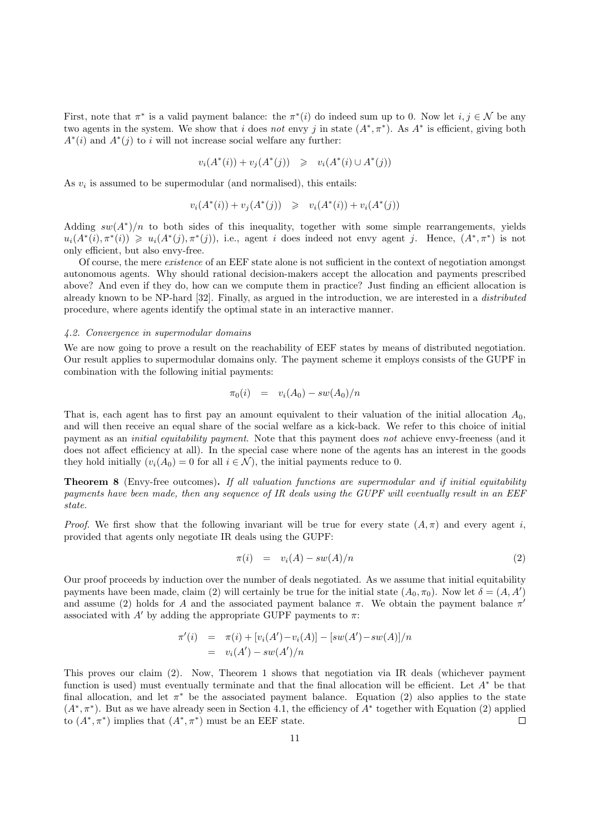First, note that  $\pi^*$  is a valid payment balance: the  $\pi^*(i)$  do indeed sum up to 0. Now let  $i, j \in \mathcal{N}$  be any two agents in the system. We show that i does not envy j in state  $(A^*, \pi^*)$ . As  $A^*$  is efficient, giving both  $A^*(i)$  and  $A^*(j)$  to i will not increase social welfare any further:

$$
v_i(A^*(i)) + v_j(A^*(j)) \geq v_i(A^*(i) \cup A^*(j))
$$

As  $v_i$  is assumed to be supermodular (and normalised), this entails:

 $v_i(A^*(i)) + v_j(A^*(j)) \geq v_i(A^*(i)) + v_i(A^*(j))$ 

Adding  $sw(A^*)/n$  to both sides of this inequality, together with some simple rearrangements, yields  $u_i(A^*(i), \pi^*(i)) \geq u_i(A^*(j), \pi^*(j))$ , i.e., agent i does indeed not envy agent j. Hence,  $(A^*, \pi^*)$  is not only efficient, but also envy-free.

Of course, the mere existence of an EEF state alone is not sufficient in the context of negotiation amongst autonomous agents. Why should rational decision-makers accept the allocation and payments prescribed above? And even if they do, how can we compute them in practice? Just finding an efficient allocation is already known to be NP-hard [32]. Finally, as argued in the introduction, we are interested in a distributed procedure, where agents identify the optimal state in an interactive manner.

# 4.2. Convergence in supermodular domains

We are now going to prove a result on the reachability of EEF states by means of distributed negotiation. Our result applies to supermodular domains only. The payment scheme it employs consists of the GUPF in combination with the following initial payments:

$$
\pi_0(i) = v_i(A_0) - sw(A_0)/n
$$

That is, each agent has to first pay an amount equivalent to their valuation of the initial allocation  $A_0$ , and will then receive an equal share of the social welfare as a kick-back. We refer to this choice of initial payment as an initial equitability payment. Note that this payment does not achieve envy-freeness (and it does not affect efficiency at all). In the special case where none of the agents has an interest in the goods they hold initially  $(v_i(A_0) = 0$  for all  $i \in \mathcal{N}$ , the initial payments reduce to 0.

Theorem 8 (Envy-free outcomes). If all valuation functions are supermodular and if initial equitability payments have been made, then any sequence of IR deals using the GUPF will eventually result in an EEF state.

*Proof.* We first show that the following invariant will be true for every state  $(A, \pi)$  and every agent i, provided that agents only negotiate IR deals using the GUPF:

$$
\pi(i) = v_i(A) - sw(A)/n \tag{2}
$$

Our proof proceeds by induction over the number of deals negotiated. As we assume that initial equitability payments have been made, claim (2) will certainly be true for the initial state  $(A_0, \pi_0)$ . Now let  $\delta = (A, A')$ and assume (2) holds for A and the associated payment balance  $\pi$ . We obtain the payment balance  $\pi'$ associated with A' by adding the appropriate GUPF payments to  $\pi$ :

$$
\pi'(i) = \pi(i) + [v_i(A') - v_i(A)] - [sw(A') - sw(A)]/n
$$
  
=  $v_i(A') - sw(A')/n$ 

This proves our claim (2). Now, Theorem 1 shows that negotiation via IR deals (whichever payment function is used) must eventually terminate and that the final allocation will be efficient. Let  $A^*$  be that final allocation, and let  $\pi^*$  be the associated payment balance. Equation (2) also applies to the state  $(A^*, \pi^*)$ . But as we have already seen in Section 4.1, the efficiency of  $A^*$  together with Equation (2) applied to  $(A^*, \pi^*)$  implies that  $(A^*, \pi^*)$  must be an EEF state.  $\Box$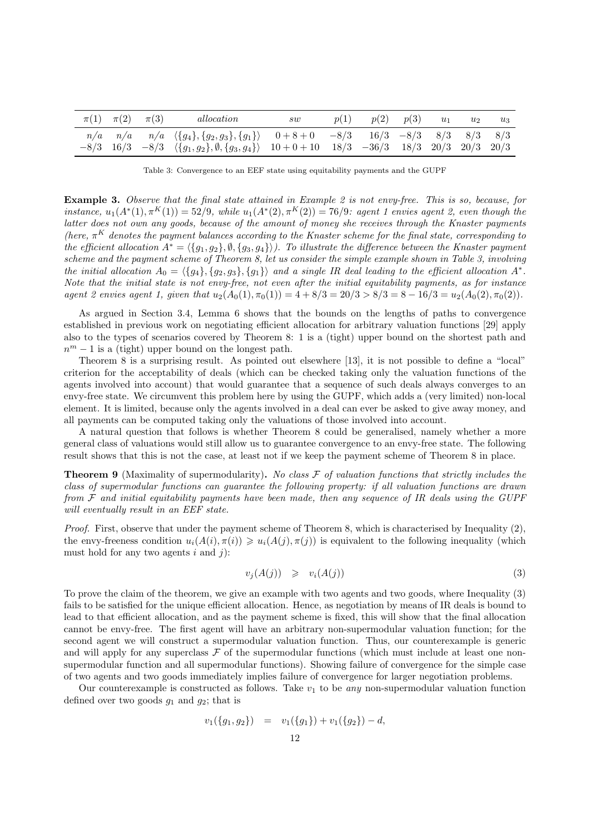| $\pi(1)$ $\pi(2)$ $\pi(3)$ |  | allocation                                                                                                                                                                                                                                         | sw | $p(1)$ $p(2)$ $p(3)$ $u_1$ $u_2$ $u_3$ |  |  |
|----------------------------|--|----------------------------------------------------------------------------------------------------------------------------------------------------------------------------------------------------------------------------------------------------|----|----------------------------------------|--|--|
|                            |  | $n/a$ $n/a$ $n/a$ $\langle {g_4}, {g_2}, {g_3}, {g_1} \rangle$ $0+8+0$ $-8/3$ $16/3$ $-8/3$ $8/3$ $8/3$ $8/3$<br>$-8/3$ $16/3$ $-8/3$ $\langle {g_1, g_2}, \emptyset, {g_3, g_4} \rangle$ $10 + 0 + 10$ $18/3$ $-36/3$ $18/3$ $20/3$ $20/3$ $20/3$ |    |                                        |  |  |

Table 3: Convergence to an EEF state using equitability payments and the GUPF

Example 3. Observe that the final state attained in Example 2 is not envy-free. This is so, because, for instance,  $u_1(A^*(1), \pi^K(1)) = 52/9$ , while  $u_1(A^*(2), \pi^K(2)) = 76/9$ : agent 1 envies agent 2, even though the latter does not own any goods, because of the amount of money she receives through the Knaster payments (here,  $\pi^K$  denotes the payment balances according to the Knaster scheme for the final state, corresponding to the efficient allocation  $A^* = \langle {g_1, g_2}, \emptyset, {g_3, g_4} \rangle$ . To illustrate the difference between the Knaster payment scheme and the payment scheme of Theorem 8, let us consider the simple example shown in Table 3, involving the initial allocation  $A_0 = \langle \{g_4\}, \{g_2, g_3\}, \{g_1\} \rangle$  and a single IR deal leading to the efficient allocation  $A^*$ . Note that the initial state is not envy-free, not even after the initial equitability payments, as for instance agent 2 envies agent 1, given that  $u_2(A_0(1), \pi_0(1)) = 4 + 8/3 = 20/3 > 8/3 = 8 - 16/3 = u_2(A_0(2), \pi_0(2)).$ 

As argued in Section 3.4, Lemma 6 shows that the bounds on the lengths of paths to convergence established in previous work on negotiating efficient allocation for arbitrary valuation functions [29] apply also to the types of scenarios covered by Theorem 8: 1 is a (tight) upper bound on the shortest path and  $n^m - 1$  is a (tight) upper bound on the longest path.

Theorem 8 is a surprising result. As pointed out elsewhere [13], it is not possible to define a "local" criterion for the acceptability of deals (which can be checked taking only the valuation functions of the agents involved into account) that would guarantee that a sequence of such deals always converges to an envy-free state. We circumvent this problem here by using the GUPF, which adds a (very limited) non-local element. It is limited, because only the agents involved in a deal can ever be asked to give away money, and all payments can be computed taking only the valuations of those involved into account.

A natural question that follows is whether Theorem 8 could be generalised, namely whether a more general class of valuations would still allow us to guarantee convergence to an envy-free state. The following result shows that this is not the case, at least not if we keep the payment scheme of Theorem 8 in place.

**Theorem 9** (Maximality of supermodularity). No class  $\mathcal F$  of valuation functions that strictly includes the class of supermodular functions can guarantee the following property: if all valuation functions are drawn from  $\mathcal F$  and initial equitability payments have been made, then any sequence of IR deals using the GUPF will eventually result in an EEF state.

*Proof.* First, observe that under the payment scheme of Theorem 8, which is characterised by Inequality  $(2)$ , the envy-freeness condition  $u_i(A(i), \pi(i)) \geq u_i(A(j), \pi(j))$  is equivalent to the following inequality (which must hold for any two agents i and j):

$$
v_j(A(j)) \geq v_i(A(j)) \tag{3}
$$

To prove the claim of the theorem, we give an example with two agents and two goods, where Inequality (3) fails to be satisfied for the unique efficient allocation. Hence, as negotiation by means of IR deals is bound to lead to that efficient allocation, and as the payment scheme is fixed, this will show that the final allocation cannot be envy-free. The first agent will have an arbitrary non-supermodular valuation function; for the second agent we will construct a supermodular valuation function. Thus, our counterexample is generic and will apply for any superclass  $\mathcal F$  of the supermodular functions (which must include at least one nonsupermodular function and all supermodular functions). Showing failure of convergence for the simple case of two agents and two goods immediately implies failure of convergence for larger negotiation problems.

Our counterexample is constructed as follows. Take  $v_1$  to be any non-supermodular valuation function defined over two goods  $q_1$  and  $q_2$ ; that is

$$
v_1(\{g_1, g_2\}) = v_1(\{g_1\}) + v_1(\{g_2\}) - d,
$$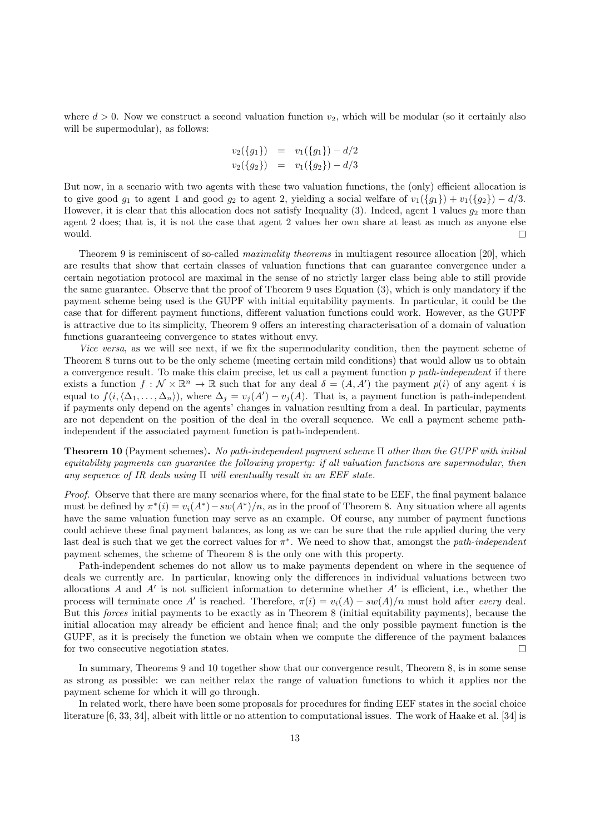where  $d > 0$ . Now we construct a second valuation function  $v_2$ , which will be modular (so it certainly also will be supermodular), as follows:

$$
v_2({g_1}) = v_1({g_1}) - d/2
$$
  

$$
v_2({g_2}) = v_1({g_2}) - d/3
$$

But now, in a scenario with two agents with these two valuation functions, the (only) efficient allocation is to give good  $g_1$  to agent 1 and good  $g_2$  to agent 2, yielding a social welfare of  $v_1({g_1}) + v_1({g_2}) - d/3$ . However, it is clear that this allocation does not satisfy Inequality  $(3)$ . Indeed, agent 1 values  $g_2$  more than agent 2 does; that is, it is not the case that agent 2 values her own share at least as much as anyone else would.  $\Box$ 

Theorem 9 is reminiscent of so-called maximality theorems in multiagent resource allocation [20], which are results that show that certain classes of valuation functions that can guarantee convergence under a certain negotiation protocol are maximal in the sense of no strictly larger class being able to still provide the same guarantee. Observe that the proof of Theorem 9 uses Equation (3), which is only mandatory if the payment scheme being used is the GUPF with initial equitability payments. In particular, it could be the case that for different payment functions, different valuation functions could work. However, as the GUPF is attractive due to its simplicity, Theorem 9 offers an interesting characterisation of a domain of valuation functions guaranteeing convergence to states without envy.

Vice versa, as we will see next, if we fix the supermodularity condition, then the payment scheme of Theorem 8 turns out to be the only scheme (meeting certain mild conditions) that would allow us to obtain a convergence result. To make this claim precise, let us call a payment function  $p$  path-independent if there exists a function  $f: \mathcal{N} \times \mathbb{R}^n \to \mathbb{R}$  such that for any deal  $\delta = (A, A')$  the payment  $p(i)$  of any agent i is equal to  $f(i, \langle \Delta_1, \ldots, \Delta_n \rangle)$ , where  $\Delta_j = v_j(A') - v_j(A)$ . That is, a payment function is path-independent if payments only depend on the agents' changes in valuation resulting from a deal. In particular, payments are not dependent on the position of the deal in the overall sequence. We call a payment scheme pathindependent if the associated payment function is path-independent.

Theorem 10 (Payment schemes). No path-independent payment scheme Π other than the GUPF with initial equitability payments can guarantee the following property: if all valuation functions are supermodular, then any sequence of IR deals using  $\Pi$  will eventually result in an EEF state.

Proof. Observe that there are many scenarios where, for the final state to be EEF, the final payment balance must be defined by  $\pi^*(i) = v_i(A^*) - sw(A^*)/n$ , as in the proof of Theorem 8. Any situation where all agents have the same valuation function may serve as an example. Of course, any number of payment functions could achieve these final payment balances, as long as we can be sure that the rule applied during the very last deal is such that we get the correct values for  $\pi^*$ . We need to show that, amongst the *path-independent* payment schemes, the scheme of Theorem 8 is the only one with this property.

Path-independent schemes do not allow us to make payments dependent on where in the sequence of deals we currently are. In particular, knowing only the differences in individual valuations between two allocations A and  $A'$  is not sufficient information to determine whether  $A'$  is efficient, i.e., whether the process will terminate once A' is reached. Therefore,  $\pi(i) = v_i(A) - sw(A)/n$  must hold after every deal. But this forces initial payments to be exactly as in Theorem 8 (initial equitability payments), because the initial allocation may already be efficient and hence final; and the only possible payment function is the GUPF, as it is precisely the function we obtain when we compute the difference of the payment balances  $\Box$ for two consecutive negotiation states.

In summary, Theorems 9 and 10 together show that our convergence result, Theorem 8, is in some sense as strong as possible: we can neither relax the range of valuation functions to which it applies nor the payment scheme for which it will go through.

In related work, there have been some proposals for procedures for finding EEF states in the social choice literature [6, 33, 34], albeit with little or no attention to computational issues. The work of Haake et al. [34] is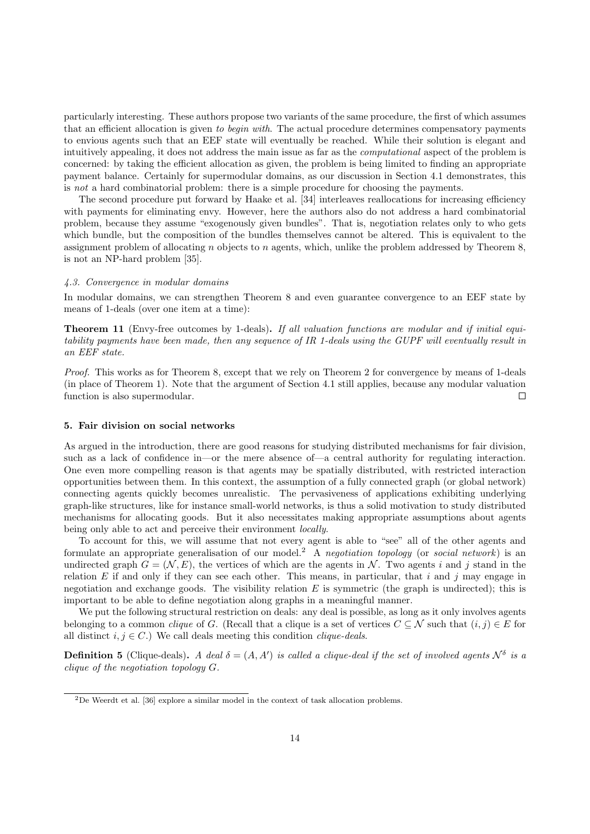particularly interesting. These authors propose two variants of the same procedure, the first of which assumes that an efficient allocation is given to begin with. The actual procedure determines compensatory payments to envious agents such that an EEF state will eventually be reached. While their solution is elegant and intuitively appealing, it does not address the main issue as far as the computational aspect of the problem is concerned: by taking the efficient allocation as given, the problem is being limited to finding an appropriate payment balance. Certainly for supermodular domains, as our discussion in Section 4.1 demonstrates, this is not a hard combinatorial problem: there is a simple procedure for choosing the payments.

The second procedure put forward by Haake et al. [34] interleaves reallocations for increasing efficiency with payments for eliminating envy. However, here the authors also do not address a hard combinatorial problem, because they assume "exogenously given bundles". That is, negotiation relates only to who gets which bundle, but the composition of the bundles themselves cannot be altered. This is equivalent to the assignment problem of allocating n objects to n agents, which, unlike the problem addressed by Theorem 8, is not an NP-hard problem [35].

#### 4.3. Convergence in modular domains

In modular domains, we can strengthen Theorem 8 and even guarantee convergence to an EEF state by means of 1-deals (over one item at a time):

Theorem 11 (Envy-free outcomes by 1-deals). If all valuation functions are modular and if initial equitability payments have been made, then any sequence of IR 1-deals using the GUPF will eventually result in an EEF state.

Proof. This works as for Theorem 8, except that we rely on Theorem 2 for convergence by means of 1-deals (in place of Theorem 1). Note that the argument of Section 4.1 still applies, because any modular valuation  $\Box$ function is also supermodular.

# 5. Fair division on social networks

As argued in the introduction, there are good reasons for studying distributed mechanisms for fair division, such as a lack of confidence in—or the mere absence of—a central authority for regulating interaction. One even more compelling reason is that agents may be spatially distributed, with restricted interaction opportunities between them. In this context, the assumption of a fully connected graph (or global network) connecting agents quickly becomes unrealistic. The pervasiveness of applications exhibiting underlying graph-like structures, like for instance small-world networks, is thus a solid motivation to study distributed mechanisms for allocating goods. But it also necessitates making appropriate assumptions about agents being only able to act and perceive their environment *locally*.

To account for this, we will assume that not every agent is able to "see" all of the other agents and formulate an appropriate generalisation of our model.<sup>2</sup> A *negotiation topology* (or *social network*) is an undirected graph  $G = (\mathcal{N}, E)$ , the vertices of which are the agents in  $\mathcal{N}$ . Two agents i and j stand in the relation E if and only if they can see each other. This means, in particular, that i and j may engage in negotiation and exchange goods. The visibility relation  $E$  is symmetric (the graph is undirected); this is important to be able to define negotiation along graphs in a meaningful manner.

We put the following structural restriction on deals: any deal is possible, as long as it only involves agents belonging to a common *clique* of G. (Recall that a clique is a set of vertices  $C \subseteq \mathcal{N}$  such that  $(i, j) \in E$  for all distinct  $i, j \in C$ .) We call deals meeting this condition *clique-deals*.

**Definition 5** (Clique-deals). A deal  $\delta = (A, A')$  is called a clique-deal if the set of involved agents  $\mathcal{N}^{\delta}$  is a clique of the negotiation topology G.

<sup>2</sup>De Weerdt et al. [36] explore a similar model in the context of task allocation problems.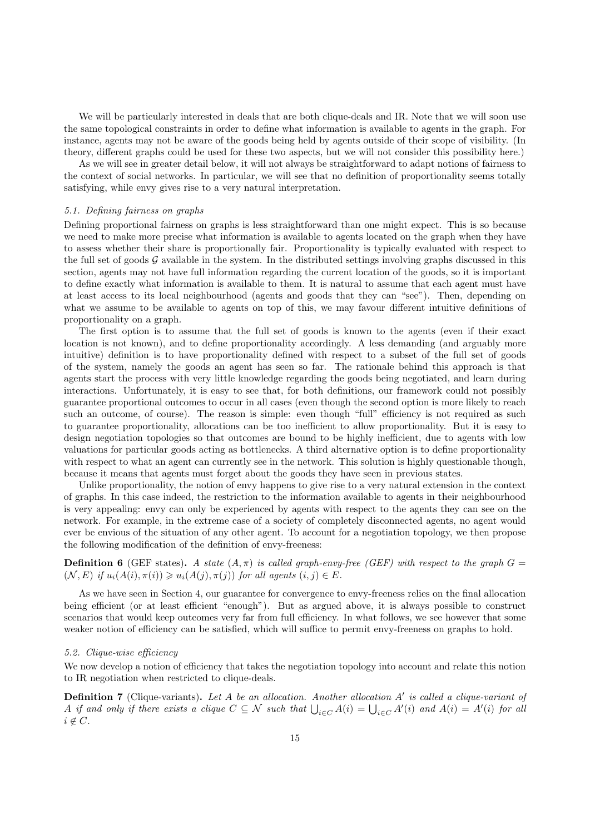We will be particularly interested in deals that are both clique-deals and IR. Note that we will soon use the same topological constraints in order to define what information is available to agents in the graph. For instance, agents may not be aware of the goods being held by agents outside of their scope of visibility. (In theory, different graphs could be used for these two aspects, but we will not consider this possibility here.)

As we will see in greater detail below, it will not always be straightforward to adapt notions of fairness to the context of social networks. In particular, we will see that no definition of proportionality seems totally satisfying, while envy gives rise to a very natural interpretation.

# 5.1. Defining fairness on graphs

Defining proportional fairness on graphs is less straightforward than one might expect. This is so because we need to make more precise what information is available to agents located on the graph when they have to assess whether their share is proportionally fair. Proportionality is typically evaluated with respect to the full set of goods  $\mathcal G$  available in the system. In the distributed settings involving graphs discussed in this section, agents may not have full information regarding the current location of the goods, so it is important to define exactly what information is available to them. It is natural to assume that each agent must have at least access to its local neighbourhood (agents and goods that they can "see"). Then, depending on what we assume to be available to agents on top of this, we may favour different intuitive definitions of proportionality on a graph.

The first option is to assume that the full set of goods is known to the agents (even if their exact location is not known), and to define proportionality accordingly. A less demanding (and arguably more intuitive) definition is to have proportionality defined with respect to a subset of the full set of goods of the system, namely the goods an agent has seen so far. The rationale behind this approach is that agents start the process with very little knowledge regarding the goods being negotiated, and learn during interactions. Unfortunately, it is easy to see that, for both definitions, our framework could not possibly guarantee proportional outcomes to occur in all cases (even though the second option is more likely to reach such an outcome, of course). The reason is simple: even though "full" efficiency is not required as such to guarantee proportionality, allocations can be too inefficient to allow proportionality. But it is easy to design negotiation topologies so that outcomes are bound to be highly inefficient, due to agents with low valuations for particular goods acting as bottlenecks. A third alternative option is to define proportionality with respect to what an agent can currently see in the network. This solution is highly questionable though, because it means that agents must forget about the goods they have seen in previous states.

Unlike proportionality, the notion of envy happens to give rise to a very natural extension in the context of graphs. In this case indeed, the restriction to the information available to agents in their neighbourhood is very appealing: envy can only be experienced by agents with respect to the agents they can see on the network. For example, in the extreme case of a society of completely disconnected agents, no agent would ever be envious of the situation of any other agent. To account for a negotiation topology, we then propose the following modification of the definition of envy-freeness:

**Definition 6** (GEF states). A state  $(A, \pi)$  is called graph-envy-free (GEF) with respect to the graph  $G =$  $(\mathcal{N}, E)$  if  $u_i(A(i), \pi(i)) \geq u_i(A(j), \pi(j))$  for all agents  $(i, j) \in E$ .

As we have seen in Section 4, our guarantee for convergence to envy-freeness relies on the final allocation being efficient (or at least efficient "enough"). But as argued above, it is always possible to construct scenarios that would keep outcomes very far from full efficiency. In what follows, we see however that some weaker notion of efficiency can be satisfied, which will suffice to permit envy-freeness on graphs to hold.

#### 5.2. Clique-wise efficiency

We now develop a notion of efficiency that takes the negotiation topology into account and relate this notion to IR negotiation when restricted to clique-deals.

**Definition 7** (Clique-variants). Let  $A$  be an allocation. Another allocation  $A'$  is called a clique-variant of A if and only if there exists a clique  $C \subseteq \mathcal{N}$  such that  $\bigcup_{i \in C} A(i) = \bigcup_{i \in C} A'(i)$  and  $A(i) = A'(i)$  for all  $i \notin C$ .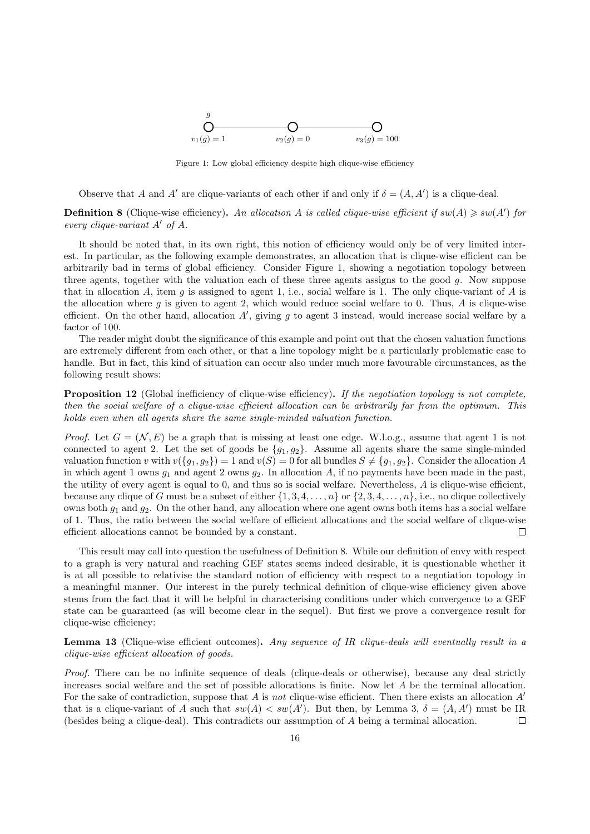

Figure 1: Low global efficiency despite high clique-wise efficiency

Observe that A and A' are clique-variants of each other if and only if  $\delta = (A, A')$  is a clique-deal.

**Definition 8** (Clique-wise efficiency). An allocation A is called clique-wise efficient if  $sw(A) \geq sw(A')$  for every clique-variant  $A'$  of  $A$ .

It should be noted that, in its own right, this notion of efficiency would only be of very limited interest. In particular, as the following example demonstrates, an allocation that is clique-wise efficient can be arbitrarily bad in terms of global efficiency. Consider Figure 1, showing a negotiation topology between three agents, together with the valuation each of these three agents assigns to the good  $g$ . Now suppose that in allocation A, item q is assigned to agent 1, i.e., social welfare is 1. The only clique-variant of A is the allocation where g is given to agent 2, which would reduce social welfare to 0. Thus,  $A$  is clique-wise efficient. On the other hand, allocation  $A'$ , giving g to agent 3 instead, would increase social welfare by a factor of 100.

The reader might doubt the significance of this example and point out that the chosen valuation functions are extremely different from each other, or that a line topology might be a particularly problematic case to handle. But in fact, this kind of situation can occur also under much more favourable circumstances, as the following result shows:

**Proposition 12** (Global inefficiency of clique-wise efficiency). If the negotiation topology is not complete, then the social welfare of a clique-wise efficient allocation can be arbitrarily far from the optimum. This holds even when all agents share the same single-minded valuation function.

*Proof.* Let  $G = (\mathcal{N}, E)$  be a graph that is missing at least one edge. W.l.o.g., assume that agent 1 is not connected to agent 2. Let the set of goods be  ${g_1, g_2}$ . Assume all agents share the same single-minded valuation function v with  $v({g_1, g_2}) = 1$  and  $v(S) = 0$  for all bundles  $S \neq {g_1, g_2}$ . Consider the allocation A in which agent 1 owns  $g_1$  and agent 2 owns  $g_2$ . In allocation A, if no payments have been made in the past, the utility of every agent is equal to 0, and thus so is social welfare. Nevertheless, A is clique-wise efficient, because any clique of G must be a subset of either  $\{1, 3, 4, \ldots, n\}$  or  $\{2, 3, 4, \ldots, n\}$ , i.e., no clique collectively owns both  $g_1$  and  $g_2$ . On the other hand, any allocation where one agent owns both items has a social welfare of 1. Thus, the ratio between the social welfare of efficient allocations and the social welfare of clique-wise efficient allocations cannot be bounded by a constant.  $\Box$ 

This result may call into question the usefulness of Definition 8. While our definition of envy with respect to a graph is very natural and reaching GEF states seems indeed desirable, it is questionable whether it is at all possible to relativise the standard notion of efficiency with respect to a negotiation topology in a meaningful manner. Our interest in the purely technical definition of clique-wise efficiency given above stems from the fact that it will be helpful in characterising conditions under which convergence to a GEF state can be guaranteed (as will become clear in the sequel). But first we prove a convergence result for clique-wise efficiency:

Lemma 13 (Clique-wise efficient outcomes). Any sequence of IR clique-deals will eventually result in a clique-wise efficient allocation of goods.

Proof. There can be no infinite sequence of deals (clique-deals or otherwise), because any deal strictly increases social welfare and the set of possible allocations is finite. Now let A be the terminal allocation. For the sake of contradiction, suppose that A is not clique-wise efficient. Then there exists an allocation  $A'$ that is a clique-variant of A such that  $sw(A) < sw(A')$ . But then, by Lemma 3,  $\delta = (A, A')$  must be IR (besides being a clique-deal). This contradicts our assumption of A being a terminal allocation.  $\Box$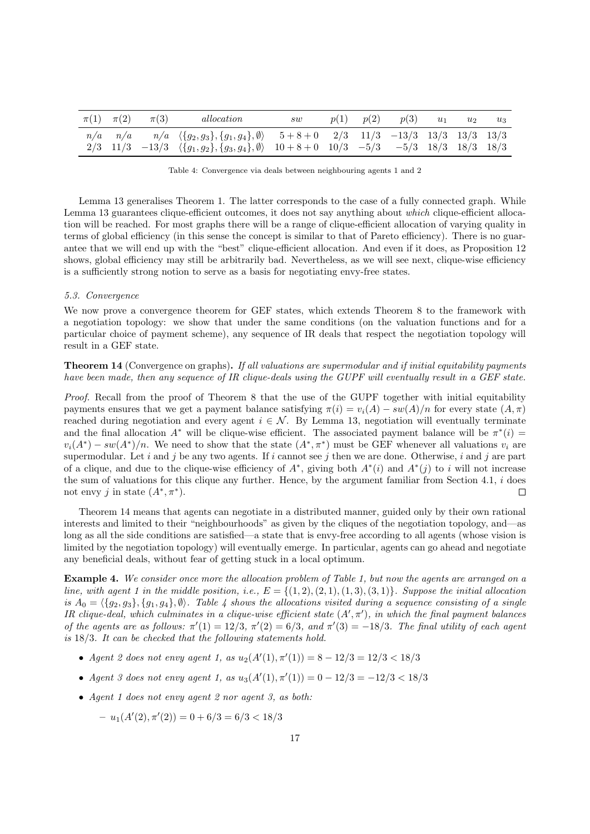|  | $\pi(1)$ $\pi(2)$ $\pi(3)$ | allocation                                                                                                                                                                                                                                             | $\mathit{sw}$ |  | $p(1)$ $p(2)$ $p(3)$ | $u_1$ $u_2$ $u_3$ |  |
|--|----------------------------|--------------------------------------------------------------------------------------------------------------------------------------------------------------------------------------------------------------------------------------------------------|---------------|--|----------------------|-------------------|--|
|  |                            | $n/a$ $n/a$ $n/a$ $\langle {g_2, g_3}, {g_1, g_4}, \emptyset \rangle$ $5+8+0$ $2/3$ $11/3$ $-13/3$ $13/3$ $13/3$ $13/3$<br>$2/3$ $11/3$ $-13/3$ $\langle {g_1, g_2}, {g_3, g_4}, \emptyset \rangle$ $10+8+0$ $10/3$ $-5/3$ $-5/3$ $18/3$ $18/3$ $18/3$ |               |  |                      |                   |  |

Table 4: Convergence via deals between neighbouring agents 1 and 2

Lemma 13 generalises Theorem 1. The latter corresponds to the case of a fully connected graph. While Lemma 13 guarantees clique-efficient outcomes, it does not say anything about which clique-efficient allocation will be reached. For most graphs there will be a range of clique-efficient allocation of varying quality in terms of global efficiency (in this sense the concept is similar to that of Pareto efficiency). There is no guarantee that we will end up with the "best" clique-efficient allocation. And even if it does, as Proposition 12 shows, global efficiency may still be arbitrarily bad. Nevertheless, as we will see next, clique-wise efficiency is a sufficiently strong notion to serve as a basis for negotiating envy-free states.

### 5.3. Convergence

We now prove a convergence theorem for GEF states, which extends Theorem 8 to the framework with a negotiation topology: we show that under the same conditions (on the valuation functions and for a particular choice of payment scheme), any sequence of IR deals that respect the negotiation topology will result in a GEF state.

**Theorem 14** (Convergence on graphs). If all valuations are supermodular and if initial equitability payments have been made, then any sequence of IR clique-deals using the GUPF will eventually result in a GEF state.

Proof. Recall from the proof of Theorem 8 that the use of the GUPF together with initial equitability payments ensures that we get a payment balance satisfying  $\pi(i) = v_i(A) - sw(A)/n$  for every state  $(A, \pi)$ reached during negotiation and every agent  $i \in \mathcal{N}$ . By Lemma 13, negotiation will eventually terminate and the final allocation  $A^*$  will be clique-wise efficient. The associated payment balance will be  $\pi^*(i)$  $v_i(A^*) - sw(A^*)/n$ . We need to show that the state  $(A^*, \pi^*)$  must be GEF whenever all valuations  $v_i$  are supermodular. Let i and j be any two agents. If i cannot see j then we are done. Otherwise, i and j are part of a clique, and due to the clique-wise efficiency of  $A^*$ , giving both  $A^*(i)$  and  $A^*(j)$  to i will not increase the sum of valuations for this clique any further. Hence, by the argument familiar from Section 4.1, i does not envy j in state  $(A^*, \pi^*)$ .  $\Box$ 

Theorem 14 means that agents can negotiate in a distributed manner, guided only by their own rational interests and limited to their "neighbourhoods" as given by the cliques of the negotiation topology, and—as long as all the side conditions are satisfied—a state that is envy-free according to all agents (whose vision is limited by the negotiation topology) will eventually emerge. In particular, agents can go ahead and negotiate any beneficial deals, without fear of getting stuck in a local optimum.

Example 4. We consider once more the allocation problem of Table 1, but now the agents are arranged on a line, with agent 1 in the middle position, i.e.,  $E = \{(1, 2), (2, 1), (1, 3), (3, 1)\}\.$  Suppose the initial allocation is  $A_0 = \langle {g_2, g_3}, {g_1, g_4}, \emptyset \rangle$ . Table 4 shows the allocations visited during a sequence consisting of a single IR clique-deal, which culminates in a clique-wise efficient state  $(A', \pi')$ , in which the final payment balances of the agents are as follows:  $\pi'(1) = 12/3$ ,  $\pi'(2) = 6/3$ , and  $\pi'(3) = -18/3$ . The final utility of each agent is 18/3. It can be checked that the following statements hold.

- Agent 2 does not envy agent 1, as  $u_2(A'(1), \pi'(1)) = 8 12/3 = 12/3 < 18/3$
- Agent 3 does not envy agent 1, as  $u_3(A'(1), \pi'(1)) = 0 12/3 = -12/3 < 18/3$
- Agent 1 does not envy agent 2 nor agent 3, as both:
	- $u_1(A'(2), \pi'(2)) = 0 + 6/3 = 6/3 < 18/3$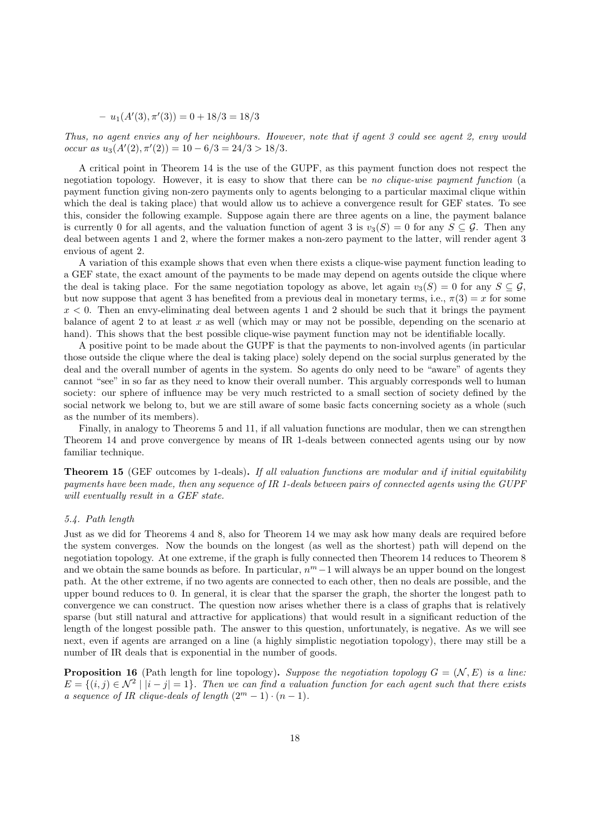$- u_1(A'(3), \pi'(3)) = 0 + 18/3 = 18/3$ 

Thus, no agent envies any of her neighbours. However, note that if agent 3 could see agent 2, envy would occur as  $u_3(A'(2), \pi'(2)) = 10 - 6/3 = 24/3 > 18/3.$ 

A critical point in Theorem 14 is the use of the GUPF, as this payment function does not respect the negotiation topology. However, it is easy to show that there can be no clique-wise payment function (a payment function giving non-zero payments only to agents belonging to a particular maximal clique within which the deal is taking place) that would allow us to achieve a convergence result for GEF states. To see this, consider the following example. Suppose again there are three agents on a line, the payment balance is currently 0 for all agents, and the valuation function of agent 3 is  $v_3(S) = 0$  for any  $S \subseteq \mathcal{G}$ . Then any deal between agents 1 and 2, where the former makes a non-zero payment to the latter, will render agent 3 envious of agent 2.

A variation of this example shows that even when there exists a clique-wise payment function leading to a GEF state, the exact amount of the payments to be made may depend on agents outside the clique where the deal is taking place. For the same negotiation topology as above, let again  $v_3(S) = 0$  for any  $S \subseteq \mathcal{G}$ , but now suppose that agent 3 has benefited from a previous deal in monetary terms, i.e.,  $\pi(3) = x$  for some  $x < 0$ . Then an envy-eliminating deal between agents 1 and 2 should be such that it brings the payment balance of agent 2 to at least x as well (which may or may not be possible, depending on the scenario at hand). This shows that the best possible clique-wise payment function may not be identifiable locally.

A positive point to be made about the GUPF is that the payments to non-involved agents (in particular those outside the clique where the deal is taking place) solely depend on the social surplus generated by the deal and the overall number of agents in the system. So agents do only need to be "aware" of agents they cannot "see" in so far as they need to know their overall number. This arguably corresponds well to human society: our sphere of influence may be very much restricted to a small section of society defined by the social network we belong to, but we are still aware of some basic facts concerning society as a whole (such as the number of its members).

Finally, in analogy to Theorems 5 and 11, if all valuation functions are modular, then we can strengthen Theorem 14 and prove convergence by means of IR 1-deals between connected agents using our by now familiar technique.

Theorem 15 (GEF outcomes by 1-deals). If all valuation functions are modular and if initial equitability payments have been made, then any sequence of IR 1-deals between pairs of connected agents using the GUPF will eventually result in a GEF state.

# 5.4. Path length

Just as we did for Theorems 4 and 8, also for Theorem 14 we may ask how many deals are required before the system converges. Now the bounds on the longest (as well as the shortest) path will depend on the negotiation topology. At one extreme, if the graph is fully connected then Theorem 14 reduces to Theorem 8 and we obtain the same bounds as before. In particular,  $n^m - 1$  will always be an upper bound on the longest path. At the other extreme, if no two agents are connected to each other, then no deals are possible, and the upper bound reduces to 0. In general, it is clear that the sparser the graph, the shorter the longest path to convergence we can construct. The question now arises whether there is a class of graphs that is relatively sparse (but still natural and attractive for applications) that would result in a significant reduction of the length of the longest possible path. The answer to this question, unfortunately, is negative. As we will see next, even if agents are arranged on a line (a highly simplistic negotiation topology), there may still be a number of IR deals that is exponential in the number of goods.

**Proposition 16** (Path length for line topology). Suppose the negotiation topology  $G = (\mathcal{N}, E)$  is a line:  $E = \{(i, j) \in \mathcal{N}^2 \mid |i - j| = 1\}.$  Then we can find a valuation function for each agent such that there exists a sequence of IR clique-deals of length  $(2^m - 1) \cdot (n - 1)$ .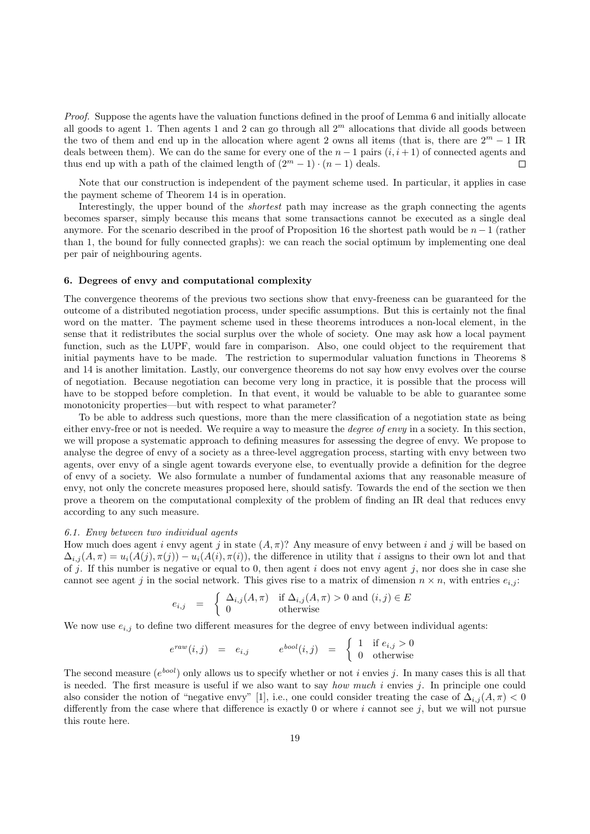Proof. Suppose the agents have the valuation functions defined in the proof of Lemma 6 and initially allocate all goods to agent 1. Then agents 1 and 2 can go through all  $2<sup>m</sup>$  allocations that divide all goods between the two of them and end up in the allocation where agent 2 owns all items (that is, there are  $2^m - 1$  IR deals between them). We can do the same for every one of the  $n-1$  pairs  $(i, i+1)$  of connected agents and thus end up with a path of the claimed length of  $(2^m - 1) \cdot (n - 1)$  deals.  $\Box$ 

Note that our construction is independent of the payment scheme used. In particular, it applies in case the payment scheme of Theorem 14 is in operation.

Interestingly, the upper bound of the shortest path may increase as the graph connecting the agents becomes sparser, simply because this means that some transactions cannot be executed as a single deal anymore. For the scenario described in the proof of Proposition 16 the shortest path would be  $n-1$  (rather than 1, the bound for fully connected graphs): we can reach the social optimum by implementing one deal per pair of neighbouring agents.

# 6. Degrees of envy and computational complexity

The convergence theorems of the previous two sections show that envy-freeness can be guaranteed for the outcome of a distributed negotiation process, under specific assumptions. But this is certainly not the final word on the matter. The payment scheme used in these theorems introduces a non-local element, in the sense that it redistributes the social surplus over the whole of society. One may ask how a local payment function, such as the LUPF, would fare in comparison. Also, one could object to the requirement that initial payments have to be made. The restriction to supermodular valuation functions in Theorems 8 and 14 is another limitation. Lastly, our convergence theorems do not say how envy evolves over the course of negotiation. Because negotiation can become very long in practice, it is possible that the process will have to be stopped before completion. In that event, it would be valuable to be able to guarantee some monotonicity properties—but with respect to what parameter?

To be able to address such questions, more than the mere classification of a negotiation state as being either envy-free or not is needed. We require a way to measure the *degree of envy* in a society. In this section, we will propose a systematic approach to defining measures for assessing the degree of envy. We propose to analyse the degree of envy of a society as a three-level aggregation process, starting with envy between two agents, over envy of a single agent towards everyone else, to eventually provide a definition for the degree of envy of a society. We also formulate a number of fundamental axioms that any reasonable measure of envy, not only the concrete measures proposed here, should satisfy. Towards the end of the section we then prove a theorem on the computational complexity of the problem of finding an IR deal that reduces envy according to any such measure.

#### 6.1. Envy between two individual agents

How much does agent i envy agent j in state  $(A, \pi)$ ? Any measure of envy between i and j will be based on  $\Delta_{i,j}(A,\pi) = u_i(A(j),\pi(j)) - u_i(A(i),\pi(i))$ , the difference in utility that i assigns to their own lot and that of j. If this number is negative or equal to 0, then agent i does not envy agent j, nor does she in case she cannot see agent j in the social network. This gives rise to a matrix of dimension  $n \times n$ , with entries  $e_{i,j}$ :

$$
e_{i,j} = \begin{cases} \Delta_{i,j}(A,\pi) & \text{if } \Delta_{i,j}(A,\pi) > 0 \text{ and } (i,j) \in E \\ 0 & \text{otherwise} \end{cases}
$$

We now use  $e_{i,j}$  to define two different measures for the degree of envy between individual agents:

$$
e^{raw}(i,j) = e_{i,j} \qquad e^{bool}(i,j) = \begin{cases} 1 & \text{if } e_{i,j} > 0 \\ 0 & \text{otherwise} \end{cases}
$$

The second measure  $(e^{bool})$  only allows us to specify whether or not i envies j. In many cases this is all that is needed. The first measure is useful if we also want to say *how much i* envies  $j$ . In principle one could also consider the notion of "negative envy" [1], i.e., one could consider treating the case of  $\Delta_{i,j}(A,\pi) < 0$ differently from the case where that difference is exactly 0 or where  $i$  cannot see  $j$ , but we will not pursue this route here.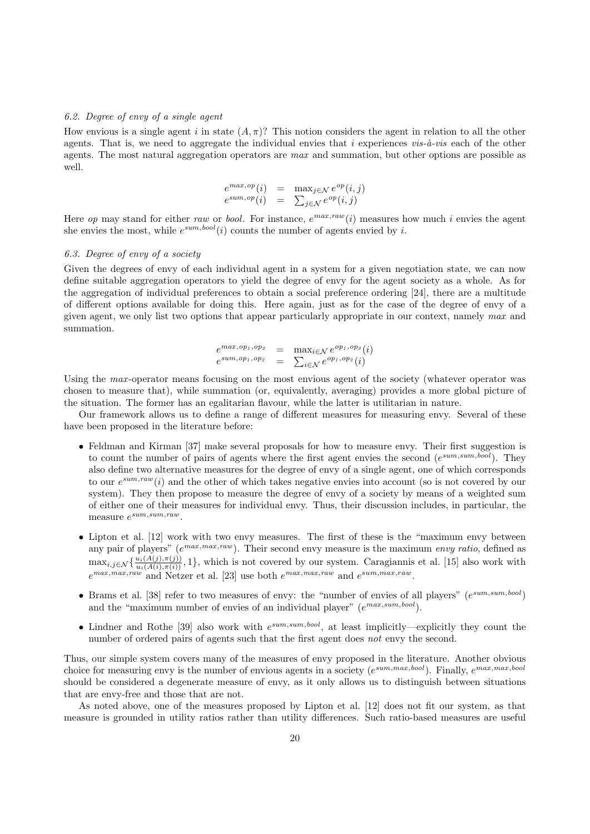# 6.2. Degree of envy of a single agent

How envious is a single agent i in state  $(A, \pi)$ ? This notion considers the agent in relation to all the other agents. That is, we need to aggregate the individual envies that i experiences  $vis-\hat{a}-vis$  each of the other agents. The most natural aggregation operators are max and summation, but other options are possible as well.

$$
e^{max, op}(i) = \max_{j \in \mathcal{N}} e^{op}(i, j)
$$
  

$$
e^{sum, op}(i) = \sum_{j \in \mathcal{N}} e^{op}(i, j)
$$

Here op may stand for either raw or bool. For instance,  $e^{max, raw}(i)$  measures how much i envies the agent she envies the most, while  $e^{sum,bool}(i)$  counts the number of agents envied by i.

# 6.3. Degree of envy of a society

Given the degrees of envy of each individual agent in a system for a given negotiation state, we can now define suitable aggregation operators to yield the degree of envy for the agent society as a whole. As for the aggregation of individual preferences to obtain a social preference ordering [24], there are a multitude of different options available for doing this. Here again, just as for the case of the degree of envy of a given agent, we only list two options that appear particularly appropriate in our context, namely max and summation.

$$
e^{max, op_1, op_2} = \max_{i \in \mathcal{N}} e^{op_1, op_2}(i)
$$
  

$$
e^{sum, op_1, op_2} = \sum_{i \in \mathcal{N}} e^{op_1, op_2}(i)
$$

Using the *max*-operator means focusing on the most envious agent of the society (whatever operator was chosen to measure that), while summation (or, equivalently, averaging) provides a more global picture of the situation. The former has an egalitarian flavour, while the latter is utilitarian in nature.

Our framework allows us to define a range of different measures for measuring envy. Several of these have been proposed in the literature before:

- Feldman and Kirman [37] make several proposals for how to measure envy. Their first suggestion is to count the number of pairs of agents where the first agent envies the second  $(e^{sum, sum, bool})$ . They also define two alternative measures for the degree of envy of a single agent, one of which corresponds to our  $e^{sum, raw}(i)$  and the other of which takes negative envies into account (so is not covered by our system). They then propose to measure the degree of envy of a society by means of a weighted sum of either one of their measures for individual envy. Thus, their discussion includes, in particular, the measure  $e^{sum, sum, raw}$ .
- Lipton et al. [12] work with two envy measures. The first of these is the "maximum envy between any pair of players"  $(e^{max, max, raw})$ . Their second envy measure is the maximum envy ratio, defined as  $\max_{i,j\in\mathcal{N}}\{\frac{u_i(A(j),\pi(j))}{u_i(A(i),\pi(i))},1\}$ , which is not covered by our system. Caragiannis et al. [15] also work with  $e^{max,max, raw}$  and Netzer et al. [23] use both  $e^{max,max, raw}$  and  $e^{sum,max, raw}$ .
- Brams et al. [38] refer to two measures of envy: the "number of envies of all players"  $(e^{sum, sum, bond})$ and the "maximum number of envies of an individual player"  $(e^{max, sum, bool})$ .
- Lindner and Rothe [39] also work with  $e^{sum, sum, bond}$ , at least implicitly—explicitly they count the number of ordered pairs of agents such that the first agent does not envy the second.

Thus, our simple system covers many of the measures of envy proposed in the literature. Another obvious choice for measuring envy is the number of envious agents in a society ( $e^{sum, max, bool}$ ). Finally,  $e^{max, max, bool}$ should be considered a degenerate measure of envy, as it only allows us to distinguish between situations that are envy-free and those that are not.

As noted above, one of the measures proposed by Lipton et al. [12] does not fit our system, as that measure is grounded in utility ratios rather than utility differences. Such ratio-based measures are useful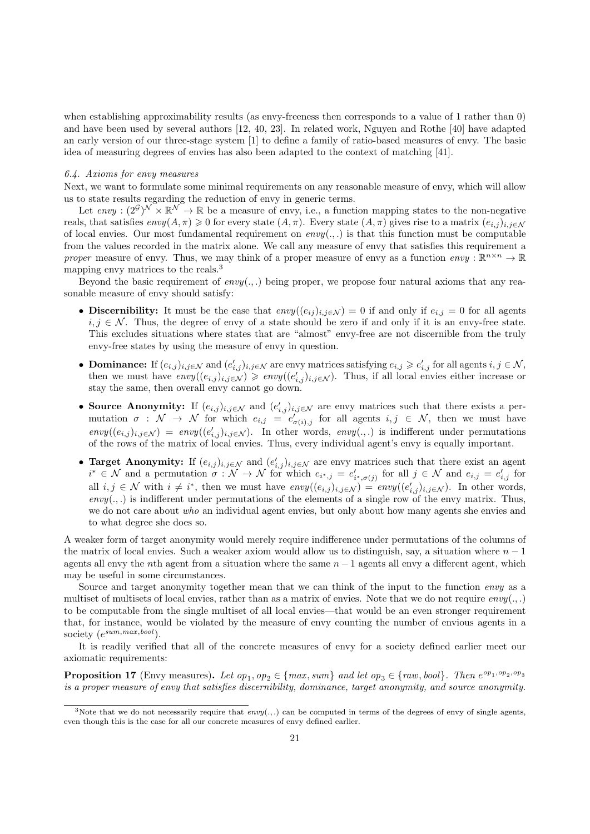when establishing approximability results (as envy-freeness then corresponds to a value of 1 rather than 0) and have been used by several authors [12, 40, 23]. In related work, Nguyen and Rothe [40] have adapted an early version of our three-stage system [1] to define a family of ratio-based measures of envy. The basic idea of measuring degrees of envies has also been adapted to the context of matching [41].

# 6.4. Axioms for envy measures

Next, we want to formulate some minimal requirements on any reasonable measure of envy, which will allow us to state results regarding the reduction of envy in generic terms.

Let  $envy : (2^{\mathcal{G}})^{\mathcal{N}} \times \mathbb{R}^{\mathcal{N}} \to \mathbb{R}$  be a measure of envy, i.e., a function mapping states to the non-negative reals, that satisfies  $envy(A, \pi) \geq 0$  for every state  $(A, \pi)$ . Every state  $(A, \pi)$  gives rise to a matrix  $(e_{i,j})_{i,j\in\mathcal{N}}$ of local envies. Our most fundamental requirement on  $envy(.,.)$  is that this function must be computable from the values recorded in the matrix alone. We call any measure of envy that satisfies this requirement a proper measure of envy. Thus, we may think of a proper measure of envy as a function  $envy : \mathbb{R}^{n \times n} \to \mathbb{R}$ mapping envy matrices to the reals.<sup>3</sup>

Beyond the basic requirement of  $envy(.,.)$  being proper, we propose four natural axioms that any reasonable measure of envy should satisfy:

- Discernibility: It must be the case that  $envy((e_{ij})_{i,j\in\mathcal{N}})=0$  if and only if  $e_{i,j}=0$  for all agents  $i, j \in \mathcal{N}$ . Thus, the degree of envy of a state should be zero if and only if it is an envy-free state. This excludes situations where states that are "almost" envy-free are not discernible from the truly envy-free states by using the measure of envy in question.
- Dominance: If  $(e_{i,j})_{i,j\in\mathcal{N}}$  and  $(e'_{i,j})_{i,j\in\mathcal{N}}$  are envy matrices satisfying  $e_{i,j}\geqslant e'_{i,j}$  for all agents  $i,j\in\mathcal{N}$ , then we must have  $\text{envy}((e_{i,j})_{i,j\in\mathcal{N}}) \geq \text{envy}((e'_{i,j})_{i,j\in\mathcal{N}})$ . Thus, if all local envies either increase or stay the same, then overall envy cannot go down.
- Source Anonymity: If  $(e_{i,j})_{i,j\in\mathcal{N}}$  and  $(e'_{i,j})_{i,j\in\mathcal{N}}$  are envy matrices such that there exists a permutation  $\sigma : \mathcal{N} \to \mathcal{N}$  for which  $e_{i,j} = e'_{\sigma(i),j}$  for all agents  $i, j \in \mathcal{N}$ , then we must have  $envy((e_{i,j})_{i,j\in\mathcal{N}}) = envy((e'_{i,j})_{i,j\in\mathcal{N}})$ . In other words, envy(...) is indifferent under permutations of the rows of the matrix of local envies. Thus, every individual agent's envy is equally important.
- Target Anonymity: If  $(e_{i,j})_{i,j\in\mathcal{N}}$  and  $(e'_{i,j})_{i,j\in\mathcal{N}}$  are envy matrices such that there exist an agent  $i^* \in \mathcal{N}$  and a permutation  $\sigma : \mathcal{N} \to \mathcal{N}$  for which  $e_{i^*,j} = e'_{i^*,\sigma(j)}$  for all  $j \in \mathcal{N}$  and  $e_{i,j} = e'_{i,j}$  for all  $i, j \in \mathcal{N}$  with  $i \neq i^*$ , then we must have  $envy((e_{i,j})_{i,j \in \mathcal{N}}) = env((e'_{i,j})_{i,j \in \mathcal{N}})$ . In other words,  $envy(.,.)$  is indifferent under permutations of the elements of a single row of the envy matrix. Thus, we do not care about *who* an individual agent envies, but only about how many agents she envies and to what degree she does so.

A weaker form of target anonymity would merely require indifference under permutations of the columns of the matrix of local envies. Such a weaker axiom would allow us to distinguish, say, a situation where  $n-1$ agents all envy the nth agent from a situation where the same  $n-1$  agents all envy a different agent, which may be useful in some circumstances.

Source and target anonymity together mean that we can think of the input to the function envy as a multiset of multisets of local envies, rather than as a matrix of envies. Note that we do not require  $envy(.,.)$ to be computable from the single multiset of all local envies—that would be an even stronger requirement that, for instance, would be violated by the measure of envy counting the number of envious agents in a society  $(e^{sum, max, bool}).$ 

It is readily verified that all of the concrete measures of envy for a society defined earlier meet our axiomatic requirements:

**Proposition 17** (Envy measures). Let  $op_1, op_2 \in \{max, sum\}$  and let  $op_3 \in \{raw, bool\}$ . Then  $e^{op_1, op_2, op_3}$ is a proper measure of envy that satisfies discernibility, dominance, target anonymity, and source anonymity.

<sup>&</sup>lt;sup>3</sup>Note that we do not necessarily require that  $envy(\ldots)$  can be computed in terms of the degrees of envy of single agents, even though this is the case for all our concrete measures of envy defined earlier.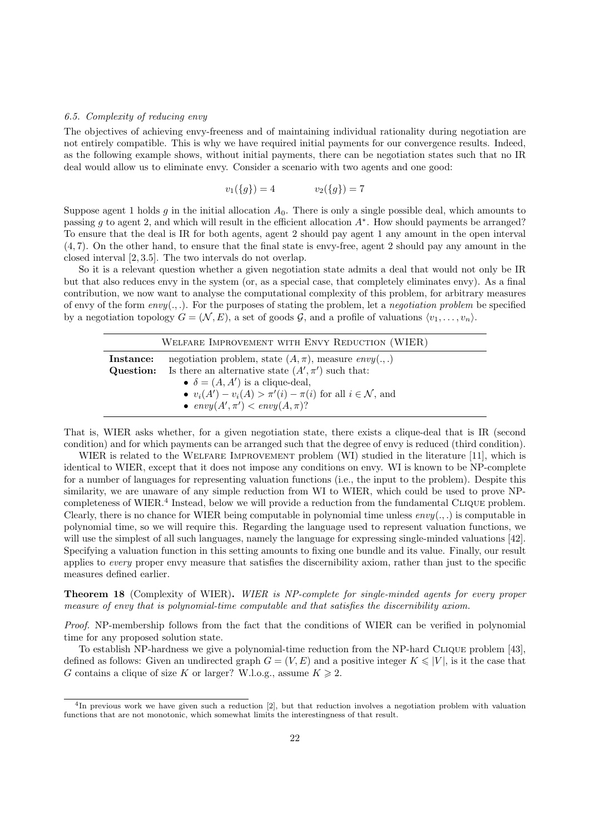# 6.5. Complexity of reducing envy

The objectives of achieving envy-freeness and of maintaining individual rationality during negotiation are not entirely compatible. This is why we have required initial payments for our convergence results. Indeed, as the following example shows, without initial payments, there can be negotiation states such that no IR deal would allow us to eliminate envy. Consider a scenario with two agents and one good:

$$
v_1(\{g\}) = 4 \qquad \qquad v_2(\{g\}) = 7
$$

Suppose agent 1 holds g in the initial allocation  $A_0$ . There is only a single possible deal, which amounts to passing g to agent 2, and which will result in the efficient allocation  $A^*$ . How should payments be arranged? To ensure that the deal is IR for both agents, agent 2 should pay agent 1 any amount in the open interval (4, 7). On the other hand, to ensure that the final state is envy-free, agent 2 should pay any amount in the closed interval [2, 3.5]. The two intervals do not overlap.

So it is a relevant question whether a given negotiation state admits a deal that would not only be IR but that also reduces envy in the system (or, as a special case, that completely eliminates envy). As a final contribution, we now want to analyse the computational complexity of this problem, for arbitrary measures of envy of the form  $envy(.,.)$ . For the purposes of stating the problem, let a negotiation problem be specified by a negotiation topology  $G = (\mathcal{N}, E)$ , a set of goods  $\mathcal{G}$ , and a profile of valuations  $\langle v_1, \ldots, v_n \rangle$ .

|           | WELFARE IMPROVEMENT WITH ENVY REDUCTION (WIER)                            |
|-----------|---------------------------------------------------------------------------|
| Instance: | negotiation problem, state $(A, \pi)$ , measure $envy(.,.)$               |
| Question: | Is there an alternative state $(A', \pi')$ such that:                     |
|           | • $\delta = (A, A')$ is a clique-deal,                                    |
|           | • $v_i(A') - v_i(A) > \pi'(i) - \pi(i)$ for all $i \in \mathcal{N}$ , and |
|           | $\bullet$ envy $(A', \pi') < envy(A, \pi)$ ?                              |

That is, WIER asks whether, for a given negotiation state, there exists a clique-deal that is IR (second condition) and for which payments can be arranged such that the degree of envy is reduced (third condition).

WIER is related to the WELFARE IMPROVEMENT problem (WI) studied in the literature [11], which is identical to WIER, except that it does not impose any conditions on envy. WI is known to be NP-complete for a number of languages for representing valuation functions (i.e., the input to the problem). Despite this similarity, we are unaware of any simple reduction from WI to WIER, which could be used to prove NPcompleteness of WIER.<sup>4</sup> Instead, below we will provide a reduction from the fundamental CLIQUE problem. Clearly, there is no chance for WIER being computable in polynomial time unless  $envy(.,.)$  is computable in polynomial time, so we will require this. Regarding the language used to represent valuation functions, we will use the simplest of all such languages, namely the language for expressing single-minded valuations [42]. Specifying a valuation function in this setting amounts to fixing one bundle and its value. Finally, our result applies to every proper envy measure that satisfies the discernibility axiom, rather than just to the specific measures defined earlier.

Theorem 18 (Complexity of WIER). WIER is NP-complete for single-minded agents for every proper measure of envy that is polynomial-time computable and that satisfies the discernibility axiom.

Proof. NP-membership follows from the fact that the conditions of WIER can be verified in polynomial time for any proposed solution state.

To establish NP-hardness we give a polynomial-time reduction from the NP-hard Clique problem [43], defined as follows: Given an undirected graph  $G = (V, E)$  and a positive integer  $K \leq |V|$ , is it the case that G contains a clique of size K or larger? W.l.o.g., assume  $K \geq 2$ .

<sup>&</sup>lt;sup>4</sup>In previous work we have given such a reduction [2], but that reduction involves a negotiation problem with valuation functions that are not monotonic, which somewhat limits the interestingness of that result.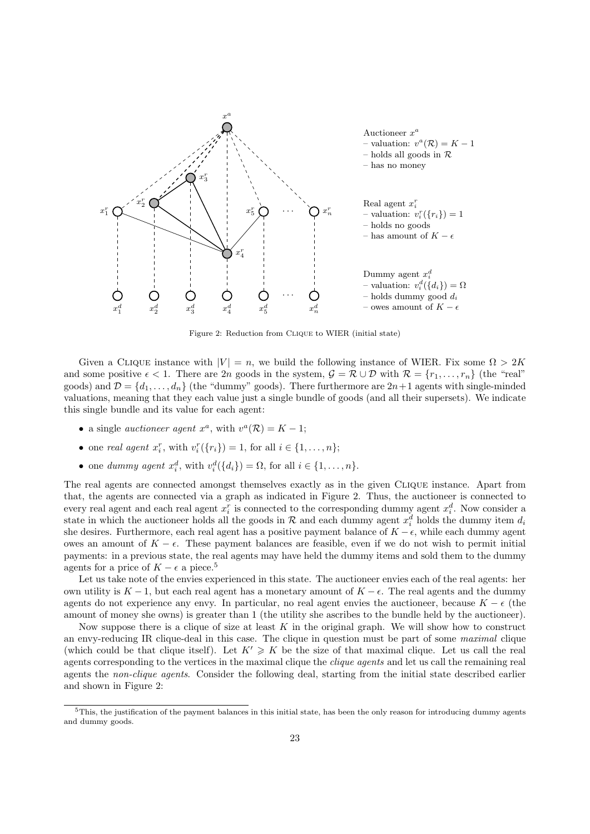

Figure 2: Reduction from Clique to WIER (initial state)

Given a CLIQUE instance with  $|V| = n$ , we build the following instance of WIER. Fix some  $\Omega > 2K$ and some positive  $\epsilon < 1$ . There are 2n goods in the system,  $\mathcal{G} = \mathcal{R} \cup \mathcal{D}$  with  $\mathcal{R} = \{r_1, \ldots, r_n\}$  (the "real" goods) and  $\mathcal{D} = \{d_1, \ldots, d_n\}$  (the "dummy" goods). There furthermore are  $2n+1$  agents with single-minded valuations, meaning that they each value just a single bundle of goods (and all their supersets). We indicate this single bundle and its value for each agent:

- a single *auctioneer agent*  $x^a$ , with  $v^a(\mathcal{R}) = K 1$ ;
- one real agent  $x_i^r$ , with  $v_i^r({r_i}) = 1$ , for all  $i \in \{1, ..., n\}$ ;
- one dummy agent  $x_i^d$ , with  $v_i^d({d_i}) = \Omega$ , for all  $i \in \{1, ..., n\}$ .

The real agents are connected amongst themselves exactly as in the given Clique instance. Apart from that, the agents are connected via a graph as indicated in Figure 2. Thus, the auctioneer is connected to every real agent and each real agent  $x_i^r$  is connected to the corresponding dummy agent  $x_i^d$ . Now consider a state in which the auctioneer holds all the goods in  $R$  and each dummy agent  $x_i^d$  holds the dummy item  $d_i$ she desires. Furthermore, each real agent has a positive payment balance of  $K - \epsilon$ , while each dummy agent owes an amount of  $K - \epsilon$ . These payment balances are feasible, even if we do not wish to permit initial payments: in a previous state, the real agents may have held the dummy items and sold them to the dummy agents for a price of  $K - \epsilon$  a piece.<sup>5</sup>

Let us take note of the envies experienced in this state. The auctioneer envies each of the real agents: her own utility is  $K - 1$ , but each real agent has a monetary amount of  $K - \epsilon$ . The real agents and the dummy agents do not experience any envy. In particular, no real agent envies the auctioneer, because  $K - \epsilon$  (the amount of money she owns) is greater than 1 (the utility she ascribes to the bundle held by the auctioneer).

Now suppose there is a clique of size at least  $K$  in the original graph. We will show how to construct an envy-reducing IR clique-deal in this case. The clique in question must be part of some maximal clique (which could be that clique itself). Let  $K' \geqslant K$  be the size of that maximal clique. Let us call the real agents corresponding to the vertices in the maximal clique the clique agents and let us call the remaining real agents the non-clique agents. Consider the following deal, starting from the initial state described earlier and shown in Figure 2:

 $5$ This, the justification of the payment balances in this initial state, has been the only reason for introducing dummy agents and dummy goods.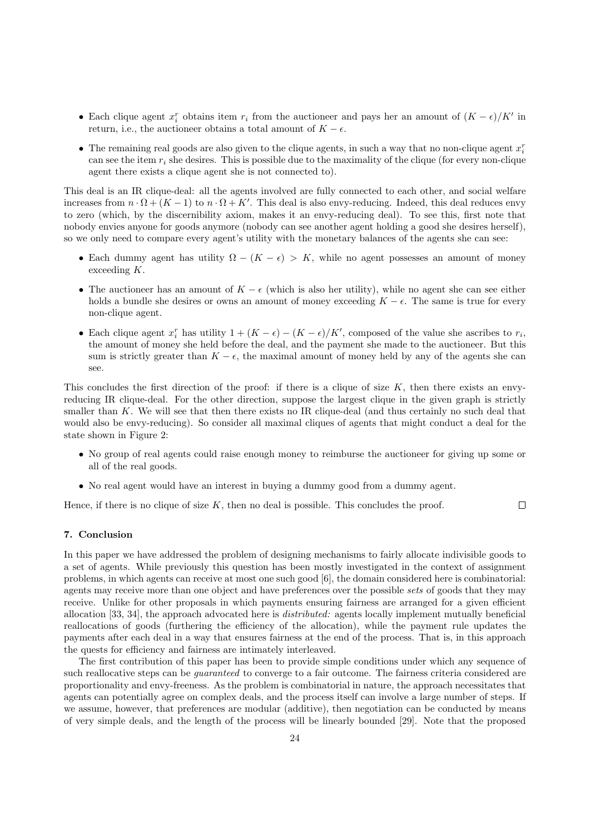- Each clique agent  $x_i^r$  obtains item  $r_i$  from the auctioneer and pays her an amount of  $(K \epsilon)/K'$  in return, i.e., the auctioneer obtains a total amount of  $K - \epsilon$ .
- The remaining real goods are also given to the clique agents, in such a way that no non-clique agent  $x_i^r$ can see the item  $r_i$  she desires. This is possible due to the maximality of the clique (for every non-clique agent there exists a clique agent she is not connected to).

This deal is an IR clique-deal: all the agents involved are fully connected to each other, and social welfare increases from  $n \cdot \Omega + (K - 1)$  to  $n \cdot \Omega + K'$ . This deal is also envy-reducing. Indeed, this deal reduces envy to zero (which, by the discernibility axiom, makes it an envy-reducing deal). To see this, first note that nobody envies anyone for goods anymore (nobody can see another agent holding a good she desires herself), so we only need to compare every agent's utility with the monetary balances of the agents she can see:

- Each dummy agent has utility  $\Omega (K \epsilon) > K$ , while no agent possesses an amount of money exceeding K.
- The auctioneer has an amount of  $K \epsilon$  (which is also her utility), while no agent she can see either holds a bundle she desires or owns an amount of money exceeding  $K - \epsilon$ . The same is true for every non-clique agent.
- Each clique agent  $x_i^r$  has utility  $1 + (K \epsilon) (K \epsilon) / K'$ , composed of the value she ascribes to  $r_i$ , the amount of money she held before the deal, and the payment she made to the auctioneer. But this sum is strictly greater than  $K - \epsilon$ , the maximal amount of money held by any of the agents she can see.

This concludes the first direction of the proof: if there is a clique of size  $K$ , then there exists an envyreducing IR clique-deal. For the other direction, suppose the largest clique in the given graph is strictly smaller than K. We will see that then there exists no IR clique-deal (and thus certainly no such deal that would also be envy-reducing). So consider all maximal cliques of agents that might conduct a deal for the state shown in Figure 2:

• No group of real agents could raise enough money to reimburse the auctioneer for giving up some or all of the real goods.

 $\Box$ 

• No real agent would have an interest in buying a dummy good from a dummy agent.

Hence, if there is no clique of size  $K$ , then no deal is possible. This concludes the proof.

# 7. Conclusion

In this paper we have addressed the problem of designing mechanisms to fairly allocate indivisible goods to a set of agents. While previously this question has been mostly investigated in the context of assignment problems, in which agents can receive at most one such good [6], the domain considered here is combinatorial: agents may receive more than one object and have preferences over the possible sets of goods that they may receive. Unlike for other proposals in which payments ensuring fairness are arranged for a given efficient allocation [33, 34], the approach advocated here is distributed: agents locally implement mutually beneficial reallocations of goods (furthering the efficiency of the allocation), while the payment rule updates the payments after each deal in a way that ensures fairness at the end of the process. That is, in this approach the quests for efficiency and fairness are intimately interleaved.

The first contribution of this paper has been to provide simple conditions under which any sequence of such reallocative steps can be *guaranteed* to converge to a fair outcome. The fairness criteria considered are proportionality and envy-freeness. As the problem is combinatorial in nature, the approach necessitates that agents can potentially agree on complex deals, and the process itself can involve a large number of steps. If we assume, however, that preferences are modular (additive), then negotiation can be conducted by means of very simple deals, and the length of the process will be linearly bounded [29]. Note that the proposed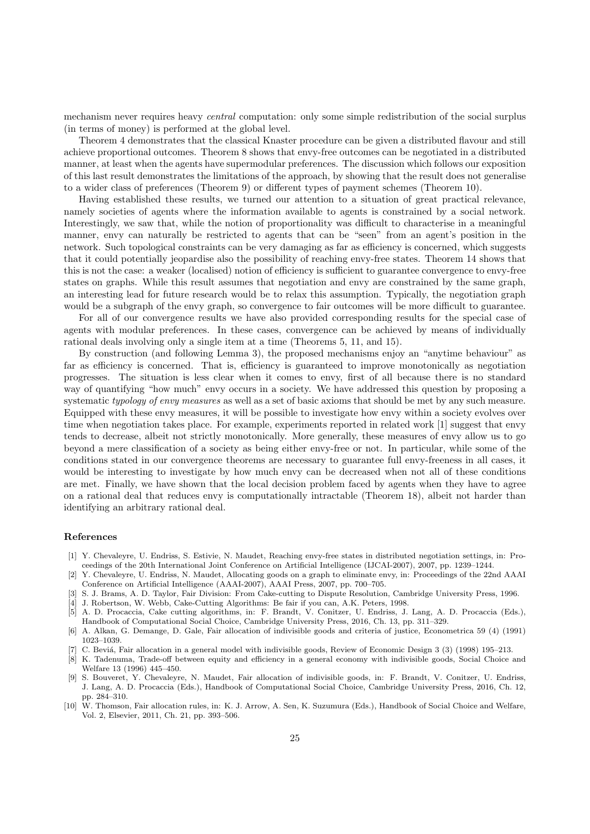mechanism never requires heavy *central* computation: only some simple redistribution of the social surplus (in terms of money) is performed at the global level.

Theorem 4 demonstrates that the classical Knaster procedure can be given a distributed flavour and still achieve proportional outcomes. Theorem 8 shows that envy-free outcomes can be negotiated in a distributed manner, at least when the agents have supermodular preferences. The discussion which follows our exposition of this last result demonstrates the limitations of the approach, by showing that the result does not generalise to a wider class of preferences (Theorem 9) or different types of payment schemes (Theorem 10).

Having established these results, we turned our attention to a situation of great practical relevance, namely societies of agents where the information available to agents is constrained by a social network. Interestingly, we saw that, while the notion of proportionality was difficult to characterise in a meaningful manner, envy can naturally be restricted to agents that can be "seen" from an agent's position in the network. Such topological constraints can be very damaging as far as efficiency is concerned, which suggests that it could potentially jeopardise also the possibility of reaching envy-free states. Theorem 14 shows that this is not the case: a weaker (localised) notion of efficiency is sufficient to guarantee convergence to envy-free states on graphs. While this result assumes that negotiation and envy are constrained by the same graph, an interesting lead for future research would be to relax this assumption. Typically, the negotiation graph would be a subgraph of the envy graph, so convergence to fair outcomes will be more difficult to guarantee.

For all of our convergence results we have also provided corresponding results for the special case of agents with modular preferences. In these cases, convergence can be achieved by means of individually rational deals involving only a single item at a time (Theorems 5, 11, and 15).

By construction (and following Lemma 3), the proposed mechanisms enjoy an "anytime behaviour" as far as efficiency is concerned. That is, efficiency is guaranteed to improve monotonically as negotiation progresses. The situation is less clear when it comes to envy, first of all because there is no standard way of quantifying "how much" envy occurs in a society. We have addressed this question by proposing a systematic typology of envy measures as well as a set of basic axioms that should be met by any such measure. Equipped with these envy measures, it will be possible to investigate how envy within a society evolves over time when negotiation takes place. For example, experiments reported in related work [1] suggest that envy tends to decrease, albeit not strictly monotonically. More generally, these measures of envy allow us to go beyond a mere classification of a society as being either envy-free or not. In particular, while some of the conditions stated in our convergence theorems are necessary to guarantee full envy-freeness in all cases, it would be interesting to investigate by how much envy can be decreased when not all of these conditions are met. Finally, we have shown that the local decision problem faced by agents when they have to agree on a rational deal that reduces envy is computationally intractable (Theorem 18), albeit not harder than identifying an arbitrary rational deal.

# References

- [1] Y. Chevaleyre, U. Endriss, S. Estivie, N. Maudet, Reaching envy-free states in distributed negotiation settings, in: Proceedings of the 20th International Joint Conference on Artificial Intelligence (IJCAI-2007), 2007, pp. 1239–1244.
- [2] Y. Chevaleyre, U. Endriss, N. Maudet, Allocating goods on a graph to eliminate envy, in: Proceedings of the 22nd AAAI Conference on Artificial Intelligence (AAAI-2007), AAAI Press, 2007, pp. 700–705.
- [3] S. J. Brams, A. D. Taylor, Fair Division: From Cake-cutting to Dispute Resolution, Cambridge University Press, 1996.
- [4] J. Robertson, W. Webb, Cake-Cutting Algorithms: Be fair if you can, A.K. Peters, 1998.
- [5] A. D. Procaccia, Cake cutting algorithms, in: F. Brandt, V. Conitzer, U. Endriss, J. Lang, A. D. Procaccia (Eds.), Handbook of Computational Social Choice, Cambridge University Press, 2016, Ch. 13, pp. 311–329.
- [6] A. Alkan, G. Demange, D. Gale, Fair allocation of indivisible goods and criteria of justice, Econometrica 59 (4) (1991) 1023–1039.
- [7] C. Bevi´a, Fair allocation in a general model with indivisible goods, Review of Economic Design 3 (3) (1998) 195–213.
- [8] K. Tadenuma, Trade-off between equity and efficiency in a general economy with indivisible goods, Social Choice and Welfare 13 (1996) 445–450.
- [9] S. Bouveret, Y. Chevaleyre, N. Maudet, Fair allocation of indivisible goods, in: F. Brandt, V. Conitzer, U. Endriss, J. Lang, A. D. Procaccia (Eds.), Handbook of Computational Social Choice, Cambridge University Press, 2016, Ch. 12, pp. 284–310.
- [10] W. Thomson, Fair allocation rules, in: K. J. Arrow, A. Sen, K. Suzumura (Eds.), Handbook of Social Choice and Welfare, Vol. 2, Elsevier, 2011, Ch. 21, pp. 393–506.